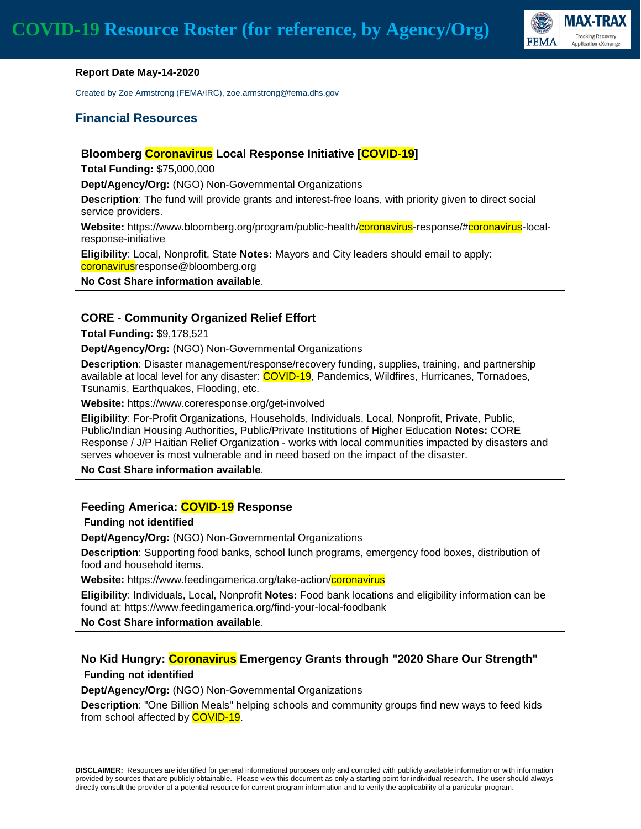

#### **Report Date May-14-2020**

Created by Zoe Armstrong (FEMA/IRC), zoe.armstrong@fema.dhs.gov

#### **Financial Resources**

#### **Bloomberg Coronavirus Local Response Initiative [COVID-19]**

**Total Funding:** \$75,000,000

**Dept/Agency/Org:** (NGO) Non-Governmental Organizations

**Description**: The fund will provide grants and interest-free loans, with priority given to direct social service providers.

**Website:** https://www.bloomberg.org/program/public-health/coronavirus-response/#coronavirus-localresponse-initiative

**Eligibility**: Local, Nonprofit, State **Notes:** Mayors and City leaders should email to apply: coronavirusresponse@bloomberg.org

**No Cost Share information available**.

#### **CORE - Community Organized Relief Effort**

**Total Funding:** \$9,178,521

**Dept/Agency/Org:** (NGO) Non-Governmental Organizations

**Description**: Disaster management/response/recovery funding, supplies, training, and partnership available at local level for any disaster: COVID-19, Pandemics, Wildfires, Hurricanes, Tornadoes, Tsunamis, Earthquakes, Flooding, etc.

**Website:** https://www.coreresponse.org/get-involved

**Eligibility**: For-Profit Organizations, Households, Individuals, Local, Nonprofit, Private, Public, Public/Indian Housing Authorities, Public/Private Institutions of Higher Education **Notes:** CORE Response / J/P Haitian Relief Organization - works with local communities impacted by disasters and serves whoever is most vulnerable and in need based on the impact of the disaster.

**No Cost Share information available**.

#### **Feeding America: COVID-19 Response**

**Funding not identified**

**Dept/Agency/Org:** (NGO) Non-Governmental Organizations

**Description**: Supporting food banks, school lunch programs, emergency food boxes, distribution of food and household items.

**Website:** https://www.feedingamerica.org/take-action/coronavirus

**Eligibility**: Individuals, Local, Nonprofit **Notes:** Food bank locations and eligibility information can be found at: https://www.feedingamerica.org/find-your-local-foodbank

**No Cost Share information available**.

### **No Kid Hungry: Coronavirus Emergency Grants through "2020 Share Our Strength" Funding not identified**

**Dept/Agency/Org:** (NGO) Non-Governmental Organizations

**Description**: "One Billion Meals" helping schools and community groups find new ways to feed kids from school affected by **COVID-19**.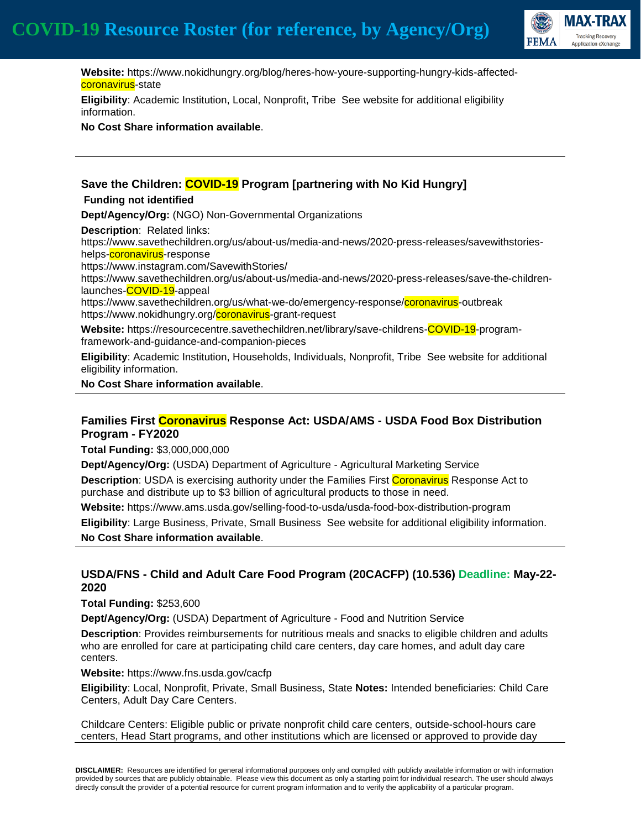

 **Website:** https://www.nokidhungry.org/blog/heres-how-youre-supporting-hungry-kids-affectedcoronavirus-state

**Eligibility**: Academic Institution, Local, Nonprofit, Tribe See website for additional eligibility information.

**No Cost Share information available**.

### **Save the Children: COVID-19 Program [partnering with No Kid Hungry] Funding not identified Dept/Agency/Org:** (NGO) Non-Governmental Organizations **Description**: Related links: https://www.savethechildren.org/us/about-us/media-and-news/2020-press-releases/savewithstorieshelps-coronavirus-response https://www.instagram.com/SavewithStories/ https://www.savethechildren.org/us/about-us/media-and-news/2020-press-releases/save-the-childrenlaunches-COVID-19-appeal https://www.savethechildren.org/us/what-we-do/emergency-response/coronavirus-outbreak https://www.nokidhungry.org/coronavirus-grant-request **Website:** https://resourcecentre.savethechildren.net/library/save-childrens-COVID-19-programframework-and-guidance-and-companion-pieces

**Eligibility**: Academic Institution, Households, Individuals, Nonprofit, Tribe See website for additional eligibility information.

**No Cost Share information available**.

## **Families First Coronavirus Response Act: USDA/AMS - USDA Food Box Distribution Program - FY2020**

**Total Funding:** \$3,000,000,000

**Dept/Agency/Org:** (USDA) Department of Agriculture - Agricultural Marketing Service

**Description**: USDA is exercising authority under the Families First **Coronavirus** Response Act to purchase and distribute up to \$3 billion of agricultural products to those in need.

**Website:** https://www.ams.usda.gov/selling-food-to-usda/usda-food-box-distribution-program

**Eligibility**: Large Business, Private, Small Business See website for additional eligibility information. **No Cost Share information available**.

## **USDA/FNS - Child and Adult Care Food Program (20CACFP) (10.536) Deadline: May-22- 2020**

**Total Funding:** \$253,600

**Dept/Agency/Org:** (USDA) Department of Agriculture - Food and Nutrition Service

**Description**: Provides reimbursements for nutritious meals and snacks to eligible children and adults who are enrolled for care at participating child care centers, day care homes, and adult day care centers.

#### **Website:** https://www.fns.usda.gov/cacfp

**Eligibility**: Local, Nonprofit, Private, Small Business, State **Notes:** Intended beneficiaries: Child Care Centers, Adult Day Care Centers.

Childcare Centers: Eligible public or private nonprofit child care centers, outside-school-hours care centers, Head Start programs, and other institutions which are licensed or approved to provide day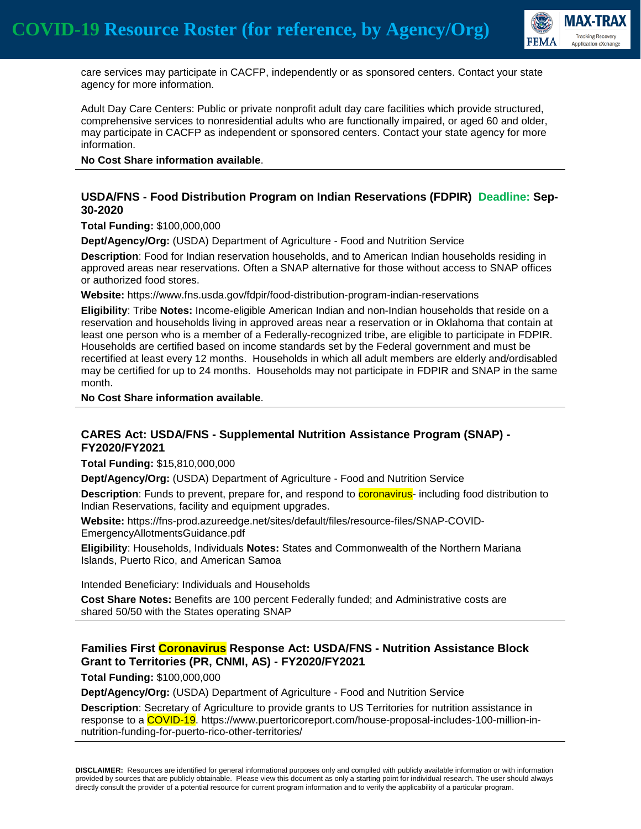

 care services may participate in CACFP, independently or as sponsored centers. Contact your state agency for more information.

Adult Day Care Centers: Public or private nonprofit adult day care facilities which provide structured, comprehensive services to nonresidential adults who are functionally impaired, or aged 60 and older, may participate in CACFP as independent or sponsored centers. Contact your state agency for more information.

**No Cost Share information available**.

#### **USDA/FNS - Food Distribution Program on Indian Reservations (FDPIR) Deadline: Sep-30-2020**

**Total Funding:** \$100,000,000

**Dept/Agency/Org:** (USDA) Department of Agriculture - Food and Nutrition Service

**Description**: Food for Indian reservation households, and to American Indian households residing in approved areas near reservations. Often a SNAP alternative for those without access to SNAP offices or authorized food stores.

**Website:** https://www.fns.usda.gov/fdpir/food-distribution-program-indian-reservations

**Eligibility**: Tribe **Notes:** Income-eligible American Indian and non-Indian households that reside on a reservation and households living in approved areas near a reservation or in Oklahoma that contain at least one person who is a member of a Federally-recognized tribe, are eligible to participate in FDPIR. Households are certified based on income standards set by the Federal government and must be recertified at least every 12 months. Households in which all adult members are elderly and/ordisabled may be certified for up to 24 months. Households may not participate in FDPIR and SNAP in the same month.

**No Cost Share information available**.

#### **CARES Act: USDA/FNS - Supplemental Nutrition Assistance Program (SNAP) - FY2020/FY2021**

**Total Funding:** \$15,810,000,000

**Dept/Agency/Org:** (USDA) Department of Agriculture - Food and Nutrition Service

**Description**: Funds to prevent, prepare for, and respond to **coronavirus**- including food distribution to Indian Reservations, facility and equipment upgrades.

**Website:** https://fns-prod.azureedge.net/sites/default/files/resource-files/SNAP-COVID-EmergencyAllotmentsGuidance.pdf

**Eligibility**: Households, Individuals **Notes:** States and Commonwealth of the Northern Mariana Islands, Puerto Rico, and American Samoa

Intended Beneficiary: Individuals and Households

**Cost Share Notes:** Benefits are 100 percent Federally funded; and Administrative costs are shared 50/50 with the States operating SNAP

### **Families First Coronavirus Response Act: USDA/FNS - Nutrition Assistance Block Grant to Territories (PR, CNMI, AS) - FY2020/FY2021**

**Total Funding:** \$100,000,000

**Dept/Agency/Org:** (USDA) Department of Agriculture - Food and Nutrition Service

**Description**: Secretary of Agriculture to provide grants to US Territories for nutrition assistance in response to a COVID-19. https://www.puertoricoreport.com/house-proposal-includes-100-million-innutrition-funding-for-puerto-rico-other-territories/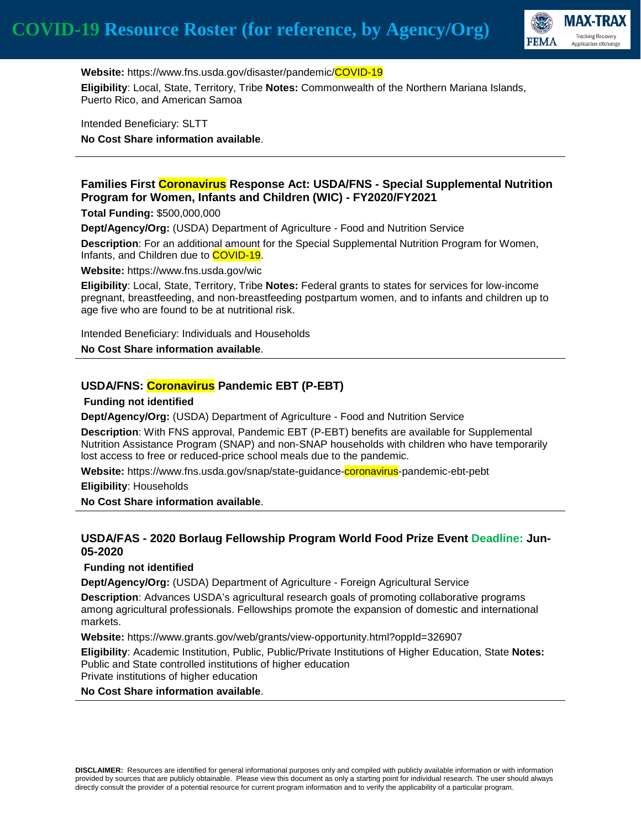

**Website:** https://www.fns.usda.gov/disaster/pandemic/COVID-19 **Eligibility**: Local, State, Territory, Tribe **Notes:** Commonwealth of the Northern Mariana Islands, Puerto Rico, and American Samoa

Intended Beneficiary: SLTT **No Cost Share information available**.

#### **Families First Coronavirus Response Act: USDA/FNS - Special Supplemental Nutrition Program for Women, Infants and Children (WIC) - FY2020/FY2021**

**Total Funding:** \$500,000,000

**Dept/Agency/Org:** (USDA) Department of Agriculture - Food and Nutrition Service

**Description**: For an additional amount for the Special Supplemental Nutrition Program for Women, Infants, and Children due to COVID-19.

**Website:** https://www.fns.usda.gov/wic

**Eligibility**: Local, State, Territory, Tribe **Notes:** Federal grants to states for services for low-income pregnant, breastfeeding, and non-breastfeeding postpartum women, and to infants and children up to age five who are found to be at nutritional risk.

Intended Beneficiary: Individuals and Households

**No Cost Share information available**.

### **USDA/FNS: Coronavirus Pandemic EBT (P-EBT)**

#### **Funding not identified**

**Dept/Agency/Org:** (USDA) Department of Agriculture - Food and Nutrition Service

**Description**: With FNS approval, Pandemic EBT (P-EBT) benefits are available for Supplemental Nutrition Assistance Program (SNAP) and non-SNAP households with children who have temporarily lost access to free or reduced-price school meals due to the pandemic.

**Website:** https://www.fns.usda.gov/snap/state-guidance-coronavirus-pandemic-ebt-pebt

**Eligibility**: Households

**No Cost Share information available**.

### **USDA/FAS - 2020 Borlaug Fellowship Program World Food Prize Event Deadline: Jun-05-2020**

#### **Funding not identified**

**Dept/Agency/Org:** (USDA) Department of Agriculture - Foreign Agricultural Service

**Description**: Advances USDA's agricultural research goals of promoting collaborative programs among agricultural professionals. Fellowships promote the expansion of domestic and international markets.

**Website:** https://www.grants.gov/web/grants/view-opportunity.html?oppId=326907

**Eligibility**: Academic Institution, Public, Public/Private Institutions of Higher Education, State **Notes:** Public and State controlled institutions of higher education Private institutions of higher education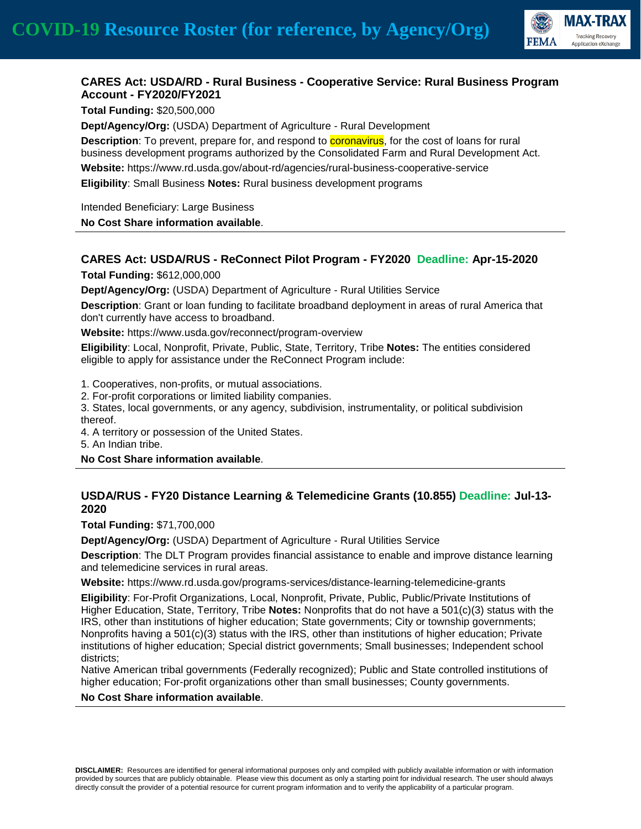

### **CARES Act: USDA/RD - Rural Business - Cooperative Service: Rural Business Program Account - FY2020/FY2021**

**Total Funding:** \$20,500,000

**Dept/Agency/Org:** (USDA) Department of Agriculture - Rural Development

**Description**: To prevent, prepare for, and respond to **coronavirus**, for the cost of loans for rural business development programs authorized by the Consolidated Farm and Rural Development Act. **Website:** https://www.rd.usda.gov/about-rd/agencies/rural-business-cooperative-service **Eligibility**: Small Business **Notes:** Rural business development programs

Intended Beneficiary: Large Business

**No Cost Share information available**.

# **CARES Act: USDA/RUS - ReConnect Pilot Program - FY2020 Deadline: Apr-15-2020**

**Total Funding:** \$612,000,000

**Dept/Agency/Org:** (USDA) Department of Agriculture - Rural Utilities Service

**Description**: Grant or loan funding to facilitate broadband deployment in areas of rural America that don't currently have access to broadband.

**Website:** https://www.usda.gov/reconnect/program-overview

**Eligibility**: Local, Nonprofit, Private, Public, State, Territory, Tribe **Notes:** The entities considered eligible to apply for assistance under the ReConnect Program include:

1. Cooperatives, non-profits, or mutual associations.

2. For-profit corporations or limited liability companies.

3. States, local governments, or any agency, subdivision, instrumentality, or political subdivision thereof.

4. A territory or possession of the United States.

5. An Indian tribe.

#### **No Cost Share information available**.

## **USDA/RUS - FY20 Distance Learning & Telemedicine Grants (10.855) Deadline: Jul-13- 2020**

**Total Funding:** \$71,700,000

**Dept/Agency/Org:** (USDA) Department of Agriculture - Rural Utilities Service

**Description**: The DLT Program provides financial assistance to enable and improve distance learning and telemedicine services in rural areas.

**Website:** https://www.rd.usda.gov/programs-services/distance-learning-telemedicine-grants

**Eligibility**: For-Profit Organizations, Local, Nonprofit, Private, Public, Public/Private Institutions of Higher Education, State, Territory, Tribe **Notes:** Nonprofits that do not have a 501(c)(3) status with the IRS, other than institutions of higher education; State governments; City or township governments; Nonprofits having a 501(c)(3) status with the IRS, other than institutions of higher education; Private institutions of higher education; Special district governments; Small businesses; Independent school districts;

Native American tribal governments (Federally recognized); Public and State controlled institutions of higher education; For-profit organizations other than small businesses; County governments.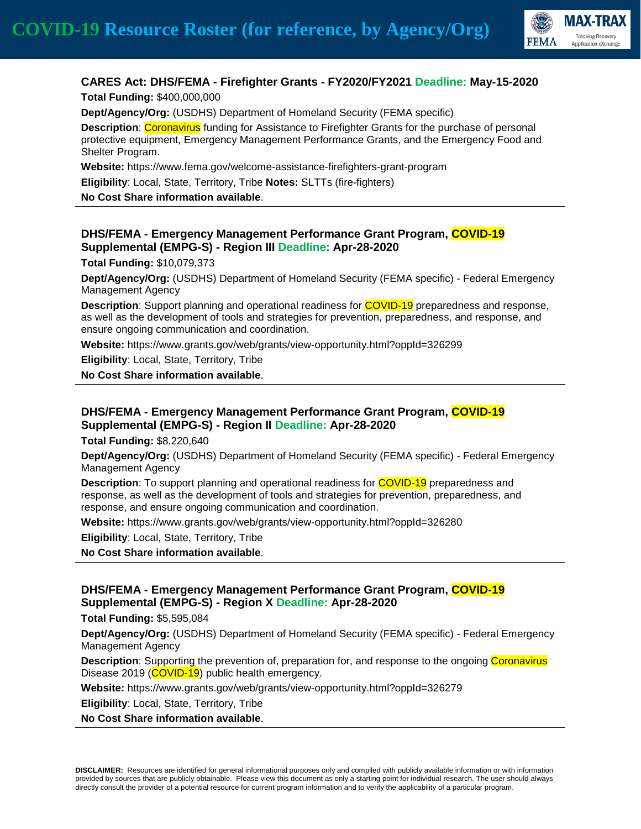

## **CARES Act: DHS/FEMA - Firefighter Grants - FY2020/FY2021 Deadline: May-15-2020**

**Total Funding:** \$400,000,000

**Dept/Agency/Org:** (USDHS) Department of Homeland Security (FEMA specific)

**Description**: Coronavirus funding for Assistance to Firefighter Grants for the purchase of personal protective equipment, Emergency Management Performance Grants, and the Emergency Food and Shelter Program.

**Website:** https://www.fema.gov/welcome-assistance-firefighters-grant-program

**Eligibility**: Local, State, Territory, Tribe **Notes:** SLTTs (fire-fighters)

**No Cost Share information available**.

#### **DHS/FEMA - Emergency Management Performance Grant Program, COVID-19 Supplemental (EMPG-S) - Region III Deadline: Apr-28-2020**

**Total Funding:** \$10,079,373

**Dept/Agency/Org:** (USDHS) Department of Homeland Security (FEMA specific) - Federal Emergency Management Agency

**Description**: Support planning and operational readiness for COVID-19 preparedness and response, as well as the development of tools and strategies for prevention, preparedness, and response, and ensure ongoing communication and coordination.

**Website:** https://www.grants.gov/web/grants/view-opportunity.html?oppId=326299

**Eligibility**: Local, State, Territory, Tribe

**No Cost Share information available**.

### **DHS/FEMA - Emergency Management Performance Grant Program, COVID-19 Supplemental (EMPG-S) - Region II Deadline: Apr-28-2020**

**Total Funding:** \$8,220,640

**Dept/Agency/Org:** (USDHS) Department of Homeland Security (FEMA specific) - Federal Emergency Management Agency

**Description**: To support planning and operational readiness for COVID-19 preparedness and response, as well as the development of tools and strategies for prevention, preparedness, and response, and ensure ongoing communication and coordination.

**Website:** https://www.grants.gov/web/grants/view-opportunity.html?oppId=326280

**Eligibility**: Local, State, Territory, Tribe

**No Cost Share information available**.

### **DHS/FEMA - Emergency Management Performance Grant Program, COVID-19 Supplemental (EMPG-S) - Region X Deadline: Apr-28-2020**

**Total Funding:** \$5,595,084

**Dept/Agency/Org:** (USDHS) Department of Homeland Security (FEMA specific) - Federal Emergency Management Agency

**Description**: Supporting the prevention of, preparation for, and response to the ongoing Coronavirus Disease 2019 (COVID-19) public health emergency.

**Website:** https://www.grants.gov/web/grants/view-opportunity.html?oppId=326279

**Eligibility**: Local, State, Territory, Tribe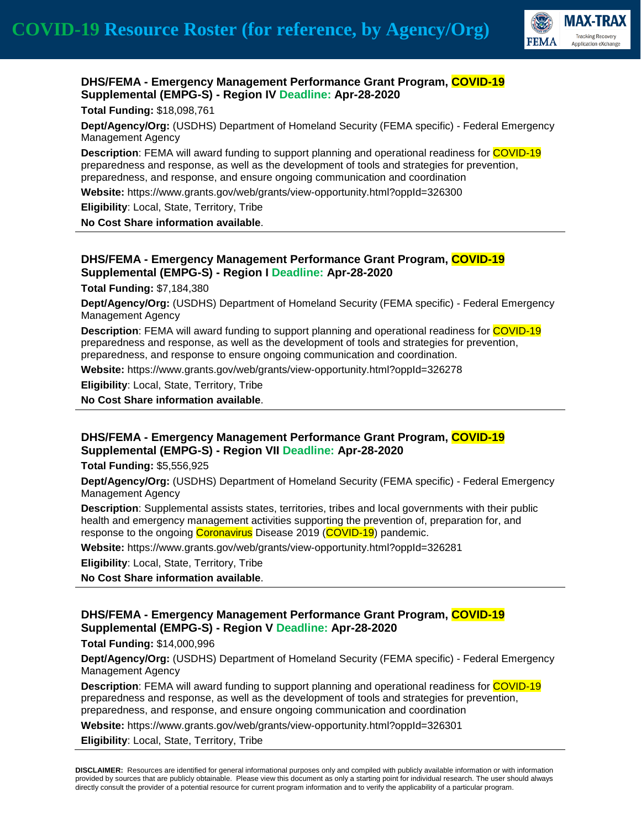

### **DHS/FEMA - Emergency Management Performance Grant Program, COVID-19 Supplemental (EMPG-S) - Region IV Deadline: Apr-28-2020**

#### **Total Funding:** \$18,098,761

**Dept/Agency/Org:** (USDHS) Department of Homeland Security (FEMA specific) - Federal Emergency Management Agency

**Description**: FEMA will award funding to support planning and operational readiness for COVID-19 preparedness and response, as well as the development of tools and strategies for prevention, preparedness, and response, and ensure ongoing communication and coordination

**Website:** https://www.grants.gov/web/grants/view-opportunity.html?oppId=326300

**Eligibility**: Local, State, Territory, Tribe

**No Cost Share information available**.

### **DHS/FEMA - Emergency Management Performance Grant Program, COVID-19 Supplemental (EMPG-S) - Region I Deadline: Apr-28-2020**

**Total Funding:** \$7,184,380

**Dept/Agency/Org:** (USDHS) Department of Homeland Security (FEMA specific) - Federal Emergency Management Agency

**Description**: FEMA will award funding to support planning and operational readiness for COVID-19 preparedness and response, as well as the development of tools and strategies for prevention, preparedness, and response to ensure ongoing communication and coordination.

**Website:** https://www.grants.gov/web/grants/view-opportunity.html?oppId=326278

**Eligibility**: Local, State, Territory, Tribe

**No Cost Share information available**.

### **DHS/FEMA - Emergency Management Performance Grant Program, COVID-19 Supplemental (EMPG-S) - Region VII Deadline: Apr-28-2020**

**Total Funding:** \$5,556,925

**Dept/Agency/Org:** (USDHS) Department of Homeland Security (FEMA specific) - Federal Emergency Management Agency

**Description**: Supplemental assists states, territories, tribes and local governments with their public health and emergency management activities supporting the prevention of, preparation for, and response to the ongoing Coronavirus Disease 2019 (COVID-19) pandemic.

**Website:** https://www.grants.gov/web/grants/view-opportunity.html?oppId=326281

**Eligibility**: Local, State, Territory, Tribe

**No Cost Share information available**.

### **DHS/FEMA - Emergency Management Performance Grant Program, COVID-19 Supplemental (EMPG-S) - Region V Deadline: Apr-28-2020**

**Total Funding:** \$14,000,996

**Dept/Agency/Org:** (USDHS) Department of Homeland Security (FEMA specific) - Federal Emergency Management Agency

**Description**: FEMA will award funding to support planning and operational readiness for COVID-19 preparedness and response, as well as the development of tools and strategies for prevention, preparedness, and response, and ensure ongoing communication and coordination

**Website:** https://www.grants.gov/web/grants/view-opportunity.html?oppId=326301

**Eligibility**: Local, State, Territory, Tribe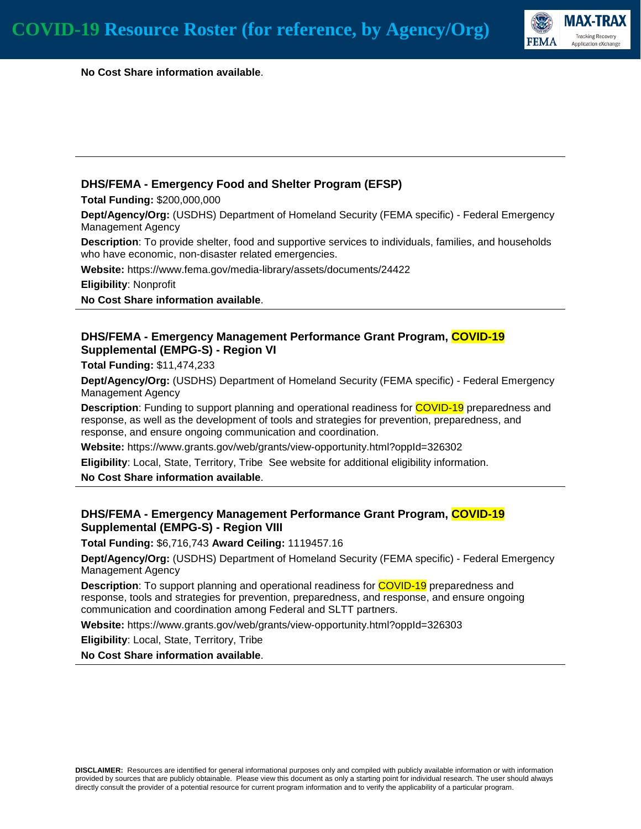

 **No Cost Share information available**.

### **DHS/FEMA - Emergency Food and Shelter Program (EFSP)**

**Total Funding:** \$200,000,000

**Dept/Agency/Org:** (USDHS) Department of Homeland Security (FEMA specific) - Federal Emergency Management Agency

**Description**: To provide shelter, food and supportive services to individuals, families, and households who have economic, non-disaster related emergencies.

**Website:** https://www.fema.gov/media-library/assets/documents/24422

**Eligibility**: Nonprofit

**No Cost Share information available**.

### **DHS/FEMA - Emergency Management Performance Grant Program, COVID-19 Supplemental (EMPG-S) - Region VI**

**Total Funding:** \$11,474,233

**Dept/Agency/Org:** (USDHS) Department of Homeland Security (FEMA specific) - Federal Emergency Management Agency

**Description**: Funding to support planning and operational readiness for COVID-19 preparedness and response, as well as the development of tools and strategies for prevention, preparedness, and response, and ensure ongoing communication and coordination.

**Website:** https://www.grants.gov/web/grants/view-opportunity.html?oppId=326302

**Eligibility**: Local, State, Territory, Tribe See website for additional eligibility information.

**No Cost Share information available**.

### **DHS/FEMA - Emergency Management Performance Grant Program, COVID-19 Supplemental (EMPG-S) - Region VIII**

**Total Funding:** \$6,716,743 **Award Ceiling:** 1119457.16

**Dept/Agency/Org:** (USDHS) Department of Homeland Security (FEMA specific) - Federal Emergency Management Agency

**Description**: To support planning and operational readiness for COVID-19 preparedness and response, tools and strategies for prevention, preparedness, and response, and ensure ongoing communication and coordination among Federal and SLTT partners.

**Website:** https://www.grants.gov/web/grants/view-opportunity.html?oppId=326303

**Eligibility**: Local, State, Territory, Tribe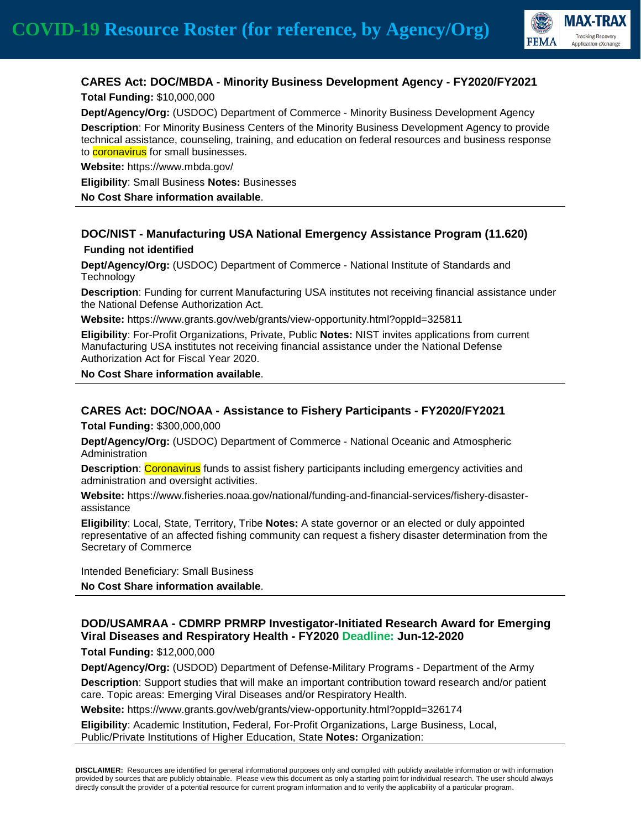

# **CARES Act: DOC/MBDA - Minority Business Development Agency - FY2020/FY2021**

**Total Funding:** \$10,000,000

**Dept/Agency/Org:** (USDOC) Department of Commerce - Minority Business Development Agency **Description**: For Minority Business Centers of the Minority Business Development Agency to provide technical assistance, counseling, training, and education on federal resources and business response to **coronavirus** for small businesses.

**Website:** https://www.mbda.gov/

**Eligibility**: Small Business **Notes:** Businesses

**No Cost Share information available**.

# **DOC/NIST - Manufacturing USA National Emergency Assistance Program (11.620)**

#### **Funding not identified**

**Dept/Agency/Org:** (USDOC) Department of Commerce - National Institute of Standards and **Technology** 

**Description**: Funding for current Manufacturing USA institutes not receiving financial assistance under the National Defense Authorization Act.

**Website:** https://www.grants.gov/web/grants/view-opportunity.html?oppId=325811

**Eligibility**: For-Profit Organizations, Private, Public **Notes:** NIST invites applications from current Manufacturing USA institutes not receiving financial assistance under the National Defense Authorization Act for Fiscal Year 2020.

**No Cost Share information available**.

### **CARES Act: DOC/NOAA - Assistance to Fishery Participants - FY2020/FY2021**

**Total Funding:** \$300,000,000

**Dept/Agency/Org:** (USDOC) Department of Commerce - National Oceanic and Atmospheric Administration

**Description: Coronavirus** funds to assist fishery participants including emergency activities and administration and oversight activities.

**Website:** https://www.fisheries.noaa.gov/national/funding-and-financial-services/fishery-disasterassistance

**Eligibility**: Local, State, Territory, Tribe **Notes:** A state governor or an elected or duly appointed representative of an affected fishing community can request a fishery disaster determination from the Secretary of Commerce

Intended Beneficiary: Small Business

**No Cost Share information available**.

# **DOD/USAMRAA - CDMRP PRMRP Investigator-Initiated Research Award for Emerging Viral Diseases and Respiratory Health - FY2020 Deadline: Jun-12-2020**

**Total Funding:** \$12,000,000

**Dept/Agency/Org:** (USDOD) Department of Defense-Military Programs - Department of the Army **Description**: Support studies that will make an important contribution toward research and/or patient care. Topic areas: Emerging Viral Diseases and/or Respiratory Health.

**Website:** https://www.grants.gov/web/grants/view-opportunity.html?oppId=326174

**Eligibility**: Academic Institution, Federal, For-Profit Organizations, Large Business, Local, Public/Private Institutions of Higher Education, State **Notes:** Organization: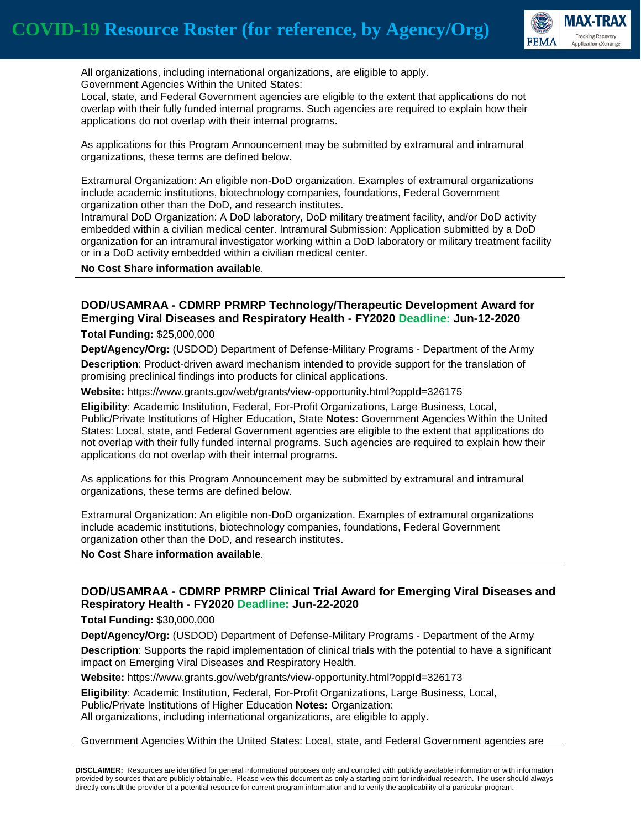

 All organizations, including international organizations, are eligible to apply. Government Agencies Within the United States:

Local, state, and Federal Government agencies are eligible to the extent that applications do not overlap with their fully funded internal programs. Such agencies are required to explain how their applications do not overlap with their internal programs.

As applications for this Program Announcement may be submitted by extramural and intramural organizations, these terms are defined below.

Extramural Organization: An eligible non-DoD organization. Examples of extramural organizations include academic institutions, biotechnology companies, foundations, Federal Government organization other than the DoD, and research institutes.

Intramural DoD Organization: A DoD laboratory, DoD military treatment facility, and/or DoD activity embedded within a civilian medical center. Intramural Submission: Application submitted by a DoD organization for an intramural investigator working within a DoD laboratory or military treatment facility or in a DoD activity embedded within a civilian medical center.

**No Cost Share information available**.

# **DOD/USAMRAA - CDMRP PRMRP Technology/Therapeutic Development Award for Emerging Viral Diseases and Respiratory Health - FY2020 Deadline: Jun-12-2020**

**Total Funding:** \$25,000,000

**Dept/Agency/Org:** (USDOD) Department of Defense-Military Programs - Department of the Army

**Description**: Product-driven award mechanism intended to provide support for the translation of promising preclinical findings into products for clinical applications.

**Website:** https://www.grants.gov/web/grants/view-opportunity.html?oppId=326175

**Eligibility**: Academic Institution, Federal, For-Profit Organizations, Large Business, Local, Public/Private Institutions of Higher Education, State **Notes:** Government Agencies Within the United States: Local, state, and Federal Government agencies are eligible to the extent that applications do not overlap with their fully funded internal programs. Such agencies are required to explain how their applications do not overlap with their internal programs.

As applications for this Program Announcement may be submitted by extramural and intramural organizations, these terms are defined below.

Extramural Organization: An eligible non-DoD organization. Examples of extramural organizations include academic institutions, biotechnology companies, foundations, Federal Government organization other than the DoD, and research institutes.

**No Cost Share information available**.

### **DOD/USAMRAA - CDMRP PRMRP Clinical Trial Award for Emerging Viral Diseases and Respiratory Health - FY2020 Deadline: Jun-22-2020**

**Total Funding:** \$30,000,000

**Dept/Agency/Org:** (USDOD) Department of Defense-Military Programs - Department of the Army **Description**: Supports the rapid implementation of clinical trials with the potential to have a significant impact on Emerging Viral Diseases and Respiratory Health.

**Website:** https://www.grants.gov/web/grants/view-opportunity.html?oppId=326173

**Eligibility**: Academic Institution, Federal, For-Profit Organizations, Large Business, Local,

Public/Private Institutions of Higher Education **Notes:** Organization:

All organizations, including international organizations, are eligible to apply.

#### Government Agencies Within the United States: Local, state, and Federal Government agencies are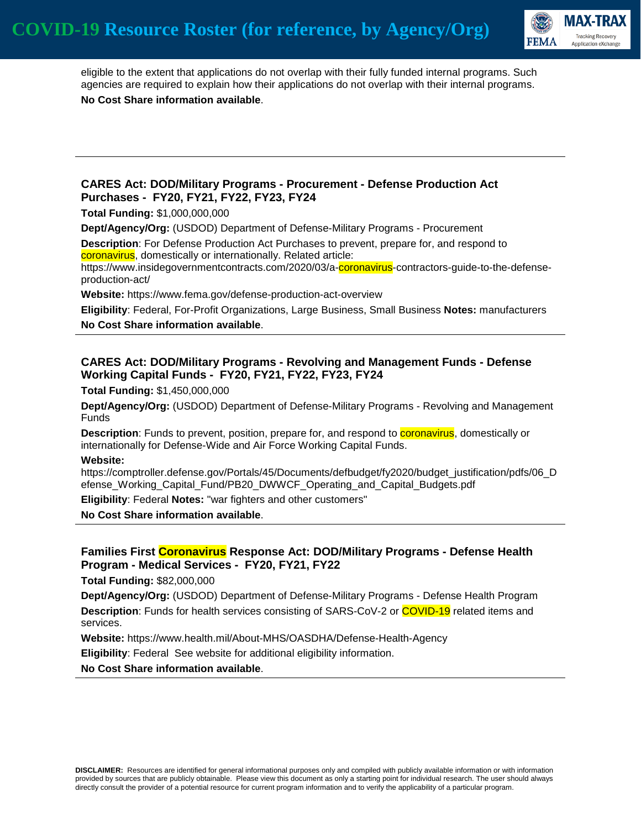

 eligible to the extent that applications do not overlap with their fully funded internal programs. Such agencies are required to explain how their applications do not overlap with their internal programs. **No Cost Share information available**.

#### **CARES Act: DOD/Military Programs - Procurement - Defense Production Act Purchases - FY20, FY21, FY22, FY23, FY24**

**Total Funding:** \$1,000,000,000

**Dept/Agency/Org:** (USDOD) Department of Defense-Military Programs - Procurement

**Description**: For Defense Production Act Purchases to prevent, prepare for, and respond to coronavirus, domestically or internationally. Related article:

https://www.insidegovernmentcontracts.com/2020/03/a-coronavirus-contractors-guide-to-the-defenseproduction-act/

**Website:** https://www.fema.gov/defense-production-act-overview

**Eligibility**: Federal, For-Profit Organizations, Large Business, Small Business **Notes:** manufacturers

**No Cost Share information available**.

### **CARES Act: DOD/Military Programs - Revolving and Management Funds - Defense Working Capital Funds - FY20, FY21, FY22, FY23, FY24**

**Total Funding:** \$1,450,000,000

**Dept/Agency/Org:** (USDOD) Department of Defense-Military Programs - Revolving and Management Funds

**Description**: Funds to prevent, position, prepare for, and respond to **coronavirus**, domestically or internationally for Defense-Wide and Air Force Working Capital Funds.

**Website:**

https://comptroller.defense.gov/Portals/45/Documents/defbudget/fy2020/budget\_justification/pdfs/06\_D efense Working Capital Fund/PB20 DWWCF Operating and Capital Budgets.pdf

**Eligibility**: Federal **Notes:** "war fighters and other customers"

**No Cost Share information available**.

### **Families First Coronavirus Response Act: DOD/Military Programs - Defense Health Program - Medical Services - FY20, FY21, FY22**

**Total Funding:** \$82,000,000

**Dept/Agency/Org:** (USDOD) Department of Defense-Military Programs - Defense Health Program **Description**: Funds for health services consisting of SARS-CoV-2 or **COVID-19** related items and services.

**Website:** https://www.health.mil/About-MHS/OASDHA/Defense-Health-Agency

**Eligibility**: Federal See website for additional eligibility information.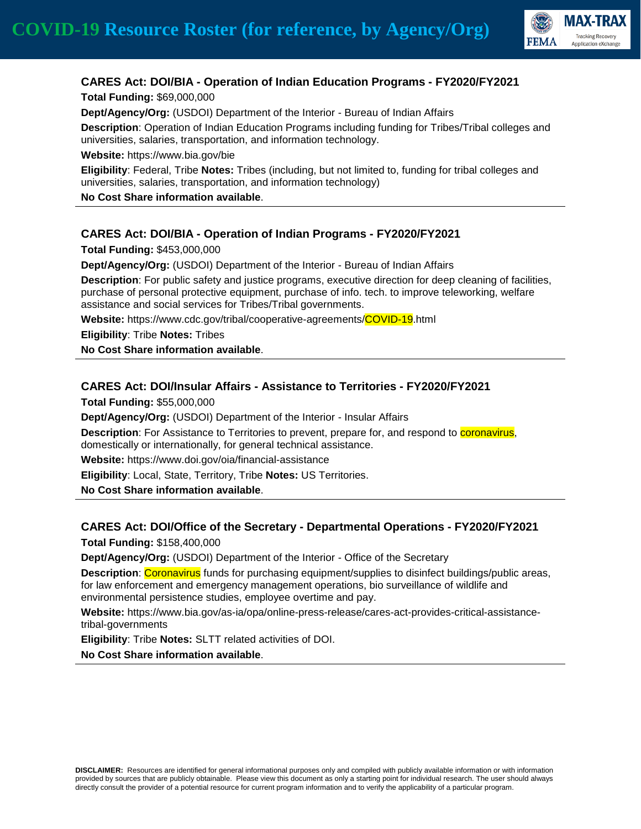

# **CARES Act: DOI/BIA - Operation of Indian Education Programs - FY2020/FY2021**

**Total Funding:** \$69,000,000

**Dept/Agency/Org:** (USDOI) Department of the Interior - Bureau of Indian Affairs

**Description**: Operation of Indian Education Programs including funding for Tribes/Tribal colleges and universities, salaries, transportation, and information technology.

**Website:** https://www.bia.gov/bie

**Eligibility**: Federal, Tribe **Notes:** Tribes (including, but not limited to, funding for tribal colleges and universities, salaries, transportation, and information technology)

**No Cost Share information available**.

## **CARES Act: DOI/BIA - Operation of Indian Programs - FY2020/FY2021**

**Total Funding:** \$453,000,000

**Dept/Agency/Org:** (USDOI) Department of the Interior - Bureau of Indian Affairs

**Description**: For public safety and justice programs, executive direction for deep cleaning of facilities, purchase of personal protective equipment, purchase of info. tech. to improve teleworking, welfare assistance and social services for Tribes/Tribal governments.

**Website:** https://www.cdc.gov/tribal/cooperative-agreements/COVID-19.html

**Eligibility**: Tribe **Notes:** Tribes

**No Cost Share information available**.

### **CARES Act: DOI/Insular Affairs - Assistance to Territories - FY2020/FY2021**

**Total Funding:** \$55,000,000

**Dept/Agency/Org:** (USDOI) Department of the Interior - Insular Affairs

Description: For Assistance to Territories to prevent, prepare for, and respond to **coronavirus**, domestically or internationally, for general technical assistance.

**Website:** https://www.doi.gov/oia/financial-assistance

**Eligibility**: Local, State, Territory, Tribe **Notes:** US Territories.

**No Cost Share information available**.

#### **CARES Act: DOI/Office of the Secretary - Departmental Operations - FY2020/FY2021**

**Total Funding:** \$158,400,000

**Dept/Agency/Org:** (USDOI) Department of the Interior - Office of the Secretary

**Description:** Coronavirus funds for purchasing equipment/supplies to disinfect buildings/public areas, for law enforcement and emergency management operations, bio surveillance of wildlife and environmental persistence studies, employee overtime and pay.

**Website:** https://www.bia.gov/as-ia/opa/online-press-release/cares-act-provides-critical-assistancetribal-governments

**Eligibility**: Tribe **Notes:** SLTT related activities of DOI.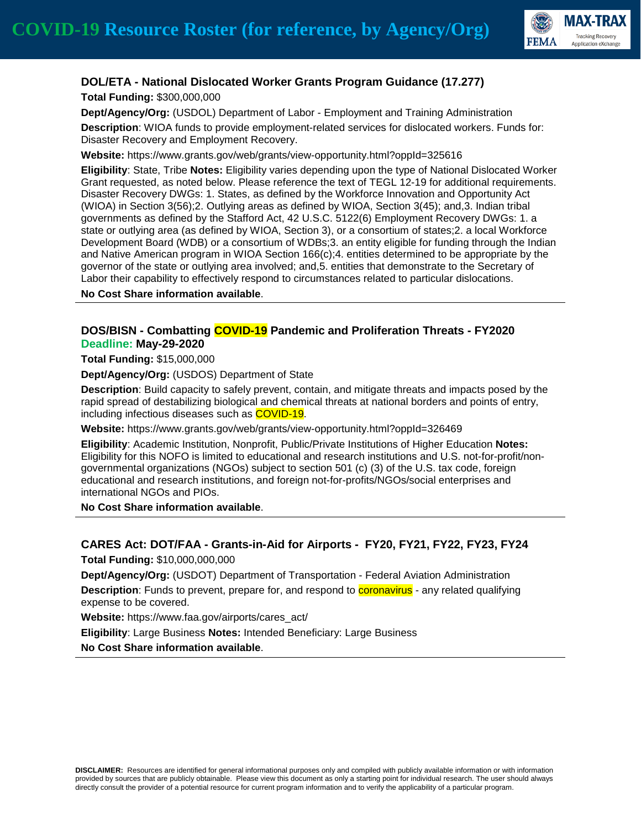

### **DOL/ETA - National Dislocated Worker Grants Program Guidance (17.277)**

**Total Funding:** \$300,000,000

**Dept/Agency/Org:** (USDOL) Department of Labor - Employment and Training Administration **Description**: WIOA funds to provide employment-related services for dislocated workers. Funds for: Disaster Recovery and Employment Recovery.

**Website:** https://www.grants.gov/web/grants/view-opportunity.html?oppId=325616

**Eligibility**: State, Tribe **Notes:** Eligibility varies depending upon the type of National Dislocated Worker Grant requested, as noted below. Please reference the text of TEGL 12-19 for additional requirements. Disaster Recovery DWGs: 1. States, as defined by the Workforce Innovation and Opportunity Act (WIOA) in Section 3(56);2. Outlying areas as defined by WIOA, Section 3(45); and,3. Indian tribal governments as defined by the Stafford Act, 42 U.S.C. 5122(6) Employment Recovery DWGs: 1. a state or outlying area (as defined by WIOA, Section 3), or a consortium of states;2. a local Workforce Development Board (WDB) or a consortium of WDBs;3. an entity eligible for funding through the Indian and Native American program in WIOA Section 166(c);4. entities determined to be appropriate by the governor of the state or outlying area involved; and,5. entities that demonstrate to the Secretary of Labor their capability to effectively respond to circumstances related to particular dislocations.

**No Cost Share information available**.

#### **DOS/BISN - Combatting COVID-19 Pandemic and Proliferation Threats - FY2020 Deadline: May-29-2020**

**Total Funding:** \$15,000,000

**Dept/Agency/Org:** (USDOS) Department of State

**Description**: Build capacity to safely prevent, contain, and mitigate threats and impacts posed by the rapid spread of destabilizing biological and chemical threats at national borders and points of entry, including infectious diseases such as COVID-19.

**Website:** https://www.grants.gov/web/grants/view-opportunity.html?oppId=326469

**Eligibility**: Academic Institution, Nonprofit, Public/Private Institutions of Higher Education **Notes:** Eligibility for this NOFO is limited to educational and research institutions and U.S. not-for-profit/nongovernmental organizations (NGOs) subject to section 501 (c) (3) of the U.S. tax code, foreign educational and research institutions, and foreign not-for-profits/NGOs/social enterprises and international NGOs and PIOs.

**No Cost Share information available**.

## **CARES Act: DOT/FAA - Grants-in-Aid for Airports - FY20, FY21, FY22, FY23, FY24**

**Total Funding:** \$10,000,000,000

**Dept/Agency/Org:** (USDOT) Department of Transportation - Federal Aviation Administration **Description**: Funds to prevent, prepare for, and respond to **coronavirus** - any related qualifying expense to be covered.

**Website:** https://www.faa.gov/airports/cares\_act/

**Eligibility**: Large Business **Notes:** Intended Beneficiary: Large Business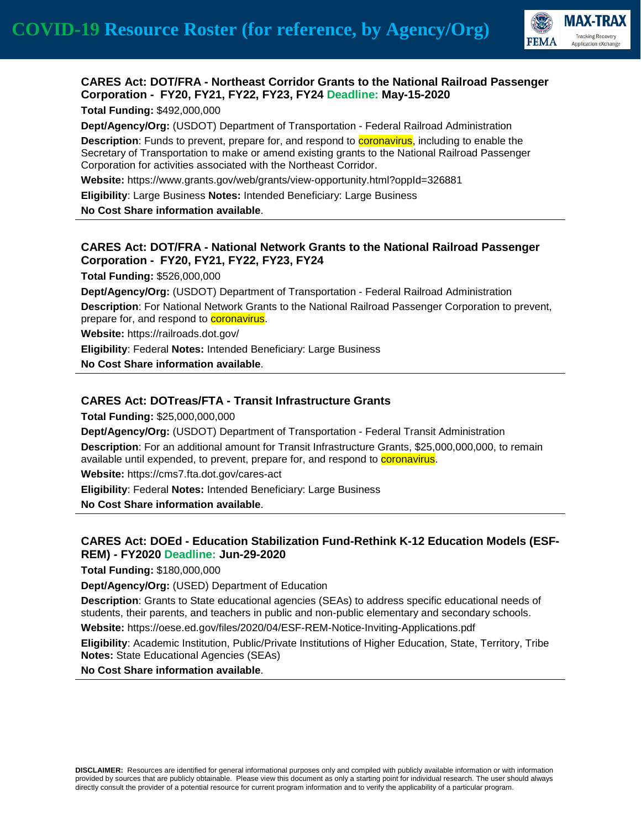

### **CARES Act: DOT/FRA - Northeast Corridor Grants to the National Railroad Passenger Corporation - FY20, FY21, FY22, FY23, FY24 Deadline: May-15-2020**

**Total Funding:** \$492,000,000

**Dept/Agency/Org:** (USDOT) Department of Transportation - Federal Railroad Administration

**Description**: Funds to prevent, prepare for, and respond to **coronavirus**, including to enable the Secretary of Transportation to make or amend existing grants to the National Railroad Passenger Corporation for activities associated with the Northeast Corridor.

**Website:** https://www.grants.gov/web/grants/view-opportunity.html?oppId=326881

**Eligibility**: Large Business **Notes:** Intended Beneficiary: Large Business

**No Cost Share information available**.

### **CARES Act: DOT/FRA - National Network Grants to the National Railroad Passenger Corporation - FY20, FY21, FY22, FY23, FY24**

**Total Funding:** \$526,000,000

**Dept/Agency/Org:** (USDOT) Department of Transportation - Federal Railroad Administration **Description**: For National Network Grants to the National Railroad Passenger Corporation to prevent, prepare for, and respond to **coronavirus**.

**Website:** https://railroads.dot.gov/

**Eligibility**: Federal **Notes:** Intended Beneficiary: Large Business

**No Cost Share information available**.

#### **CARES Act: DOTreas/FTA - Transit Infrastructure Grants**

**Total Funding:** \$25,000,000,000

**Dept/Agency/Org:** (USDOT) Department of Transportation - Federal Transit Administration **Description**: For an additional amount for Transit Infrastructure Grants, \$25,000,000,000, to remain available until expended, to prevent, prepare for, and respond to **coronavirus**.

**Website:** https://cms7.fta.dot.gov/cares-act

**Eligibility**: Federal **Notes:** Intended Beneficiary: Large Business

**No Cost Share information available**.

### **CARES Act: DOEd - Education Stabilization Fund-Rethink K-12 Education Models (ESF-REM) - FY2020 Deadline: Jun-29-2020**

**Total Funding:** \$180,000,000

**Dept/Agency/Org:** (USED) Department of Education

**Description**: Grants to State educational agencies (SEAs) to address specific educational needs of students, their parents, and teachers in public and non-public elementary and secondary schools.

**Website:** https://oese.ed.gov/files/2020/04/ESF-REM-Notice-Inviting-Applications.pdf

**Eligibility**: Academic Institution, Public/Private Institutions of Higher Education, State, Territory, Tribe **Notes:** State Educational Agencies (SEAs)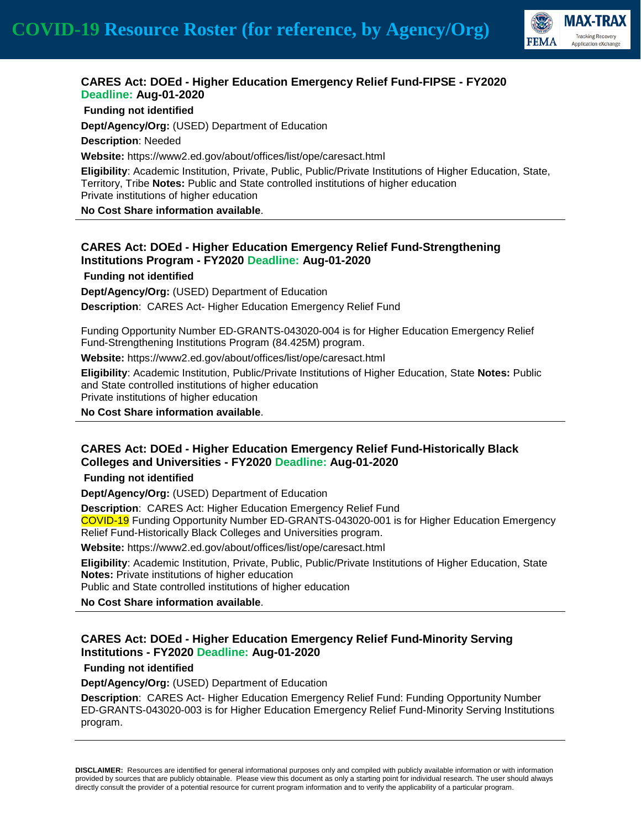

## **CARES Act: DOEd - Higher Education Emergency Relief Fund-FIPSE - FY2020 Deadline: Aug-01-2020**

**Funding not identified**

**Dept/Agency/Org:** (USED) Department of Education

**Description**: Needed

**Website:** https://www2.ed.gov/about/offices/list/ope/caresact.html

**Eligibility**: Academic Institution, Private, Public, Public/Private Institutions of Higher Education, State, Territory, Tribe **Notes:** Public and State controlled institutions of higher education Private institutions of higher education

**No Cost Share information available**.

### **CARES Act: DOEd - Higher Education Emergency Relief Fund-Strengthening Institutions Program - FY2020 Deadline: Aug-01-2020**

**Funding not identified**

**Dept/Agency/Org:** (USED) Department of Education **Description**: CARES Act- Higher Education Emergency Relief Fund

Funding Opportunity Number ED-GRANTS-043020-004 is for Higher Education Emergency Relief Fund-Strengthening Institutions Program (84.425M) program.

**Website:** https://www2.ed.gov/about/offices/list/ope/caresact.html

**Eligibility**: Academic Institution, Public/Private Institutions of Higher Education, State **Notes:** Public and State controlled institutions of higher education Private institutions of higher education

**No Cost Share information available**.

### **CARES Act: DOEd - Higher Education Emergency Relief Fund-Historically Black Colleges and Universities - FY2020 Deadline: Aug-01-2020**

**Funding not identified**

**Dept/Agency/Org:** (USED) Department of Education

**Description**: CARES Act: Higher Education Emergency Relief Fund

COVID-19 Funding Opportunity Number ED-GRANTS-043020-001 is for Higher Education Emergency Relief Fund-Historically Black Colleges and Universities program.

**Website:** https://www2.ed.gov/about/offices/list/ope/caresact.html

**Eligibility**: Academic Institution, Private, Public, Public/Private Institutions of Higher Education, State **Notes:** Private institutions of higher education

Public and State controlled institutions of higher education

**No Cost Share information available**.

## **CARES Act: DOEd - Higher Education Emergency Relief Fund-Minority Serving Institutions - FY2020 Deadline: Aug-01-2020**

**Funding not identified**

**Dept/Agency/Org:** (USED) Department of Education

**Description**: CARES Act- Higher Education Emergency Relief Fund: Funding Opportunity Number ED-GRANTS-043020-003 is for Higher Education Emergency Relief Fund-Minority Serving Institutions program.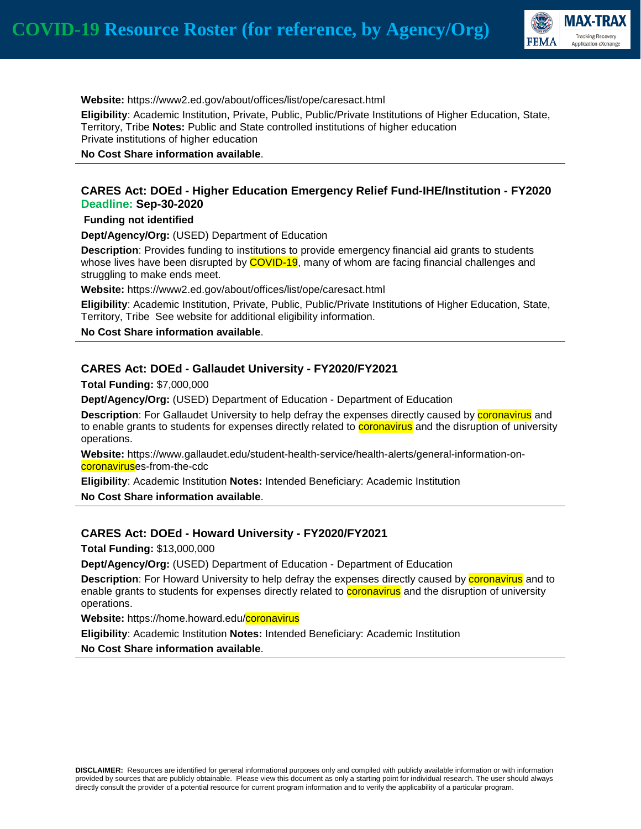

#### **Website:** https://www2.ed.gov/about/offices/list/ope/caresact.html

**Eligibility**: Academic Institution, Private, Public, Public/Private Institutions of Higher Education, State, Territory, Tribe **Notes:** Public and State controlled institutions of higher education Private institutions of higher education

**No Cost Share information available**.

#### **CARES Act: DOEd - Higher Education Emergency Relief Fund-IHE/Institution - FY2020 Deadline: Sep-30-2020**

#### **Funding not identified**

**Dept/Agency/Org:** (USED) Department of Education

**Description**: Provides funding to institutions to provide emergency financial aid grants to students whose lives have been disrupted by COVID-19, many of whom are facing financial challenges and struggling to make ends meet.

**Website:** https://www2.ed.gov/about/offices/list/ope/caresact.html

**Eligibility**: Academic Institution, Private, Public, Public/Private Institutions of Higher Education, State, Territory, Tribe See website for additional eligibility information.

**No Cost Share information available**.

#### **CARES Act: DOEd - Gallaudet University - FY2020/FY2021**

**Total Funding:** \$7,000,000

**Dept/Agency/Org:** (USED) Department of Education - Department of Education

**Description**: For Gallaudet University to help defray the expenses directly caused by **coronavirus** and to enable grants to students for expenses directly related to **coronavirus** and the disruption of university operations.

**Website:** https://www.gallaudet.edu/student-health-service/health-alerts/general-information-oncoronaviruses-from-the-cdc

**Eligibility**: Academic Institution **Notes:** Intended Beneficiary: Academic Institution

**No Cost Share information available**.

#### **CARES Act: DOEd - Howard University - FY2020/FY2021**

**Total Funding:** \$13,000,000

**Dept/Agency/Org:** (USED) Department of Education - Department of Education

**Description**: For Howard University to help defray the expenses directly caused by **coronavirus** and to enable grants to students for expenses directly related to **coronavirus** and the disruption of university operations.

**Website:** https://home.howard.edu/coronavirus

**Eligibility**: Academic Institution **Notes:** Intended Beneficiary: Academic Institution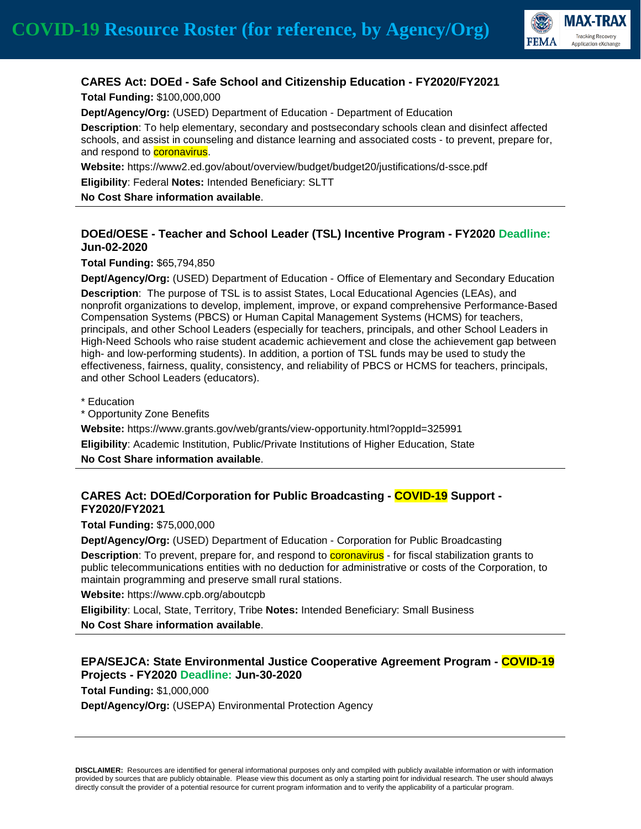

# **CARES Act: DOEd - Safe School and Citizenship Education - FY2020/FY2021**

**Total Funding:** \$100,000,000

**Dept/Agency/Org:** (USED) Department of Education - Department of Education

**Description**: To help elementary, secondary and postsecondary schools clean and disinfect affected schools, and assist in counseling and distance learning and associated costs - to prevent, prepare for, and respond to **coronavirus**.

**Website:** https://www2.ed.gov/about/overview/budget/budget20/justifications/d-ssce.pdf

**Eligibility**: Federal **Notes:** Intended Beneficiary: SLTT

**No Cost Share information available**.

### **DOEd/OESE - Teacher and School Leader (TSL) Incentive Program - FY2020 Deadline: Jun-02-2020**

**Total Funding:** \$65,794,850

**Dept/Agency/Org:** (USED) Department of Education - Office of Elementary and Secondary Education

**Description**: The purpose of TSL is to assist States, Local Educational Agencies (LEAs), and nonprofit organizations to develop, implement, improve, or expand comprehensive Performance-Based Compensation Systems (PBCS) or Human Capital Management Systems (HCMS) for teachers, principals, and other School Leaders (especially for teachers, principals, and other School Leaders in High-Need Schools who raise student academic achievement and close the achievement gap between high- and low-performing students). In addition, a portion of TSL funds may be used to study the effectiveness, fairness, quality, consistency, and reliability of PBCS or HCMS for teachers, principals, and other School Leaders (educators).

\* Education

\* Opportunity Zone Benefits

**Website:** https://www.grants.gov/web/grants/view-opportunity.html?oppId=325991 **Eligibility**: Academic Institution, Public/Private Institutions of Higher Education, State

**No Cost Share information available**.

## **CARES Act: DOEd/Corporation for Public Broadcasting - COVID-19 Support - FY2020/FY2021**

**Total Funding:** \$75,000,000

**Dept/Agency/Org:** (USED) Department of Education - Corporation for Public Broadcasting

**Description**: To prevent, prepare for, and respond to coronavirus - for fiscal stabilization grants to public telecommunications entities with no deduction for administrative or costs of the Corporation, to maintain programming and preserve small rural stations.

**Website:** https://www.cpb.org/aboutcpb

**Eligibility**: Local, State, Territory, Tribe **Notes:** Intended Beneficiary: Small Business

**No Cost Share information available**.

## **EPA/SEJCA: State Environmental Justice Cooperative Agreement Program - COVID-19 Projects - FY2020 Deadline: Jun-30-2020**

**Total Funding:** \$1,000,000

**Dept/Agency/Org:** (USEPA) Environmental Protection Agency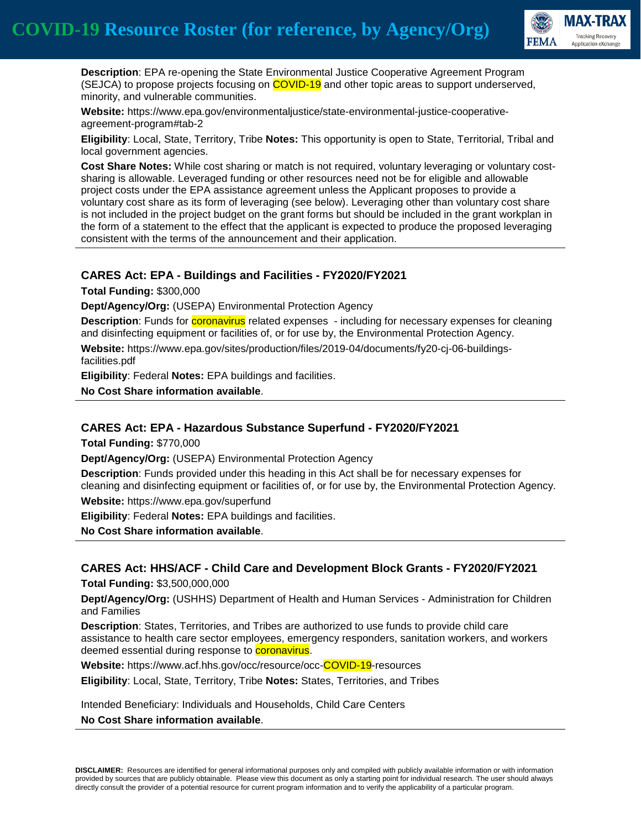

 **Description**: EPA re-opening the State Environmental Justice Cooperative Agreement Program (SEJCA) to propose projects focusing on COVID-19 and other topic areas to support underserved, minority, and vulnerable communities.

**Website:** https://www.epa.gov/environmentaljustice/state-environmental-justice-cooperativeagreement-program#tab-2

**Eligibility**: Local, State, Territory, Tribe **Notes:** This opportunity is open to State, Territorial, Tribal and local government agencies.

**Cost Share Notes:** While cost sharing or match is not required, voluntary leveraging or voluntary costsharing is allowable. Leveraged funding or other resources need not be for eligible and allowable project costs under the EPA assistance agreement unless the Applicant proposes to provide a voluntary cost share as its form of leveraging (see below). Leveraging other than voluntary cost share is not included in the project budget on the grant forms but should be included in the grant workplan in the form of a statement to the effect that the applicant is expected to produce the proposed leveraging consistent with the terms of the announcement and their application.

#### **CARES Act: EPA - Buildings and Facilities - FY2020/FY2021**

**Total Funding:** \$300,000

**Dept/Agency/Org:** (USEPA) Environmental Protection Agency

**Description**: Funds for **coronavirus** related expenses - including for necessary expenses for cleaning and disinfecting equipment or facilities of, or for use by, the Environmental Protection Agency.

**Website:** https://www.epa.gov/sites/production/files/2019-04/documents/fy20-cj-06-buildingsfacilities.pdf

**Eligibility**: Federal **Notes:** EPA buildings and facilities.

**No Cost Share information available**.

#### **CARES Act: EPA - Hazardous Substance Superfund - FY2020/FY2021**

**Total Funding:** \$770,000

**Dept/Agency/Org:** (USEPA) Environmental Protection Agency

**Description**: Funds provided under this heading in this Act shall be for necessary expenses for cleaning and disinfecting equipment or facilities of, or for use by, the Environmental Protection Agency. **Website:** https://www.epa.gov/superfund

**Eligibility**: Federal **Notes:** EPA buildings and facilities.

**No Cost Share information available**.

#### **CARES Act: HHS/ACF - Child Care and Development Block Grants - FY2020/FY2021**

**Total Funding:** \$3,500,000,000

**Dept/Agency/Org:** (USHHS) Department of Health and Human Services - Administration for Children and Families

**Description**: States, Territories, and Tribes are authorized to use funds to provide child care assistance to health care sector employees, emergency responders, sanitation workers, and workers deemed essential during response to **coronavirus**.

**Website:** https://www.acf.hhs.gov/occ/resource/occ-COVID-19-resources

**Eligibility**: Local, State, Territory, Tribe **Notes:** States, Territories, and Tribes

Intended Beneficiary: Individuals and Households, Child Care Centers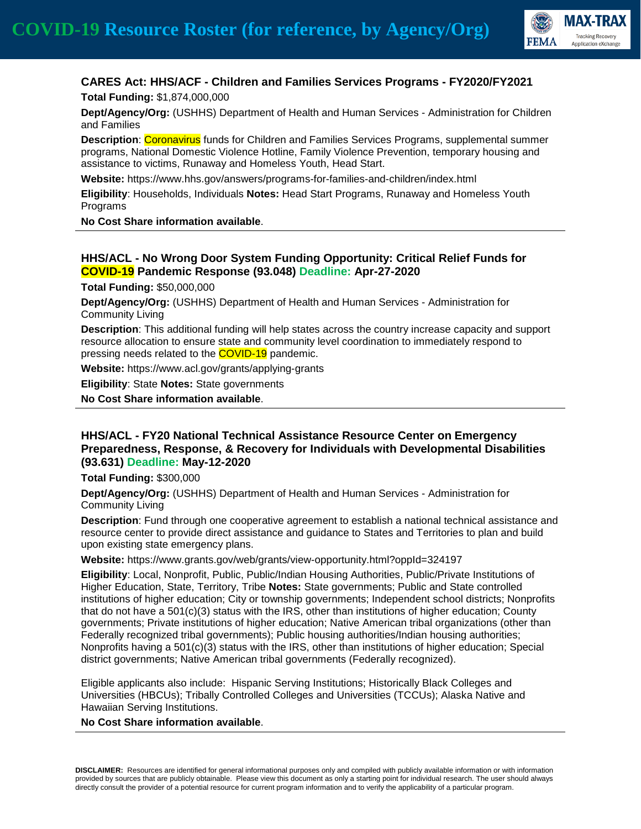

# **CARES Act: HHS/ACF - Children and Families Services Programs - FY2020/FY2021**

**Total Funding:** \$1,874,000,000

**Dept/Agency/Org:** (USHHS) Department of Health and Human Services - Administration for Children and Families

**Description: Coronavirus** funds for Children and Families Services Programs, supplemental summer programs, National Domestic Violence Hotline, Family Violence Prevention, temporary housing and assistance to victims, Runaway and Homeless Youth, Head Start.

**Website:** https://www.hhs.gov/answers/programs-for-families-and-children/index.html

**Eligibility**: Households, Individuals **Notes:** Head Start Programs, Runaway and Homeless Youth Programs

**No Cost Share information available**.

# **HHS/ACL - No Wrong Door System Funding Opportunity: Critical Relief Funds for COVID-19 Pandemic Response (93.048) Deadline: Apr-27-2020**

**Total Funding:** \$50,000,000

**Dept/Agency/Org:** (USHHS) Department of Health and Human Services - Administration for Community Living

**Description**: This additional funding will help states across the country increase capacity and support resource allocation to ensure state and community level coordination to immediately respond to pressing needs related to the **COVID-19** pandemic.

**Website:** https://www.acl.gov/grants/applying-grants

**Eligibility**: State **Notes:** State governments

**No Cost Share information available**.

#### **HHS/ACL - FY20 National Technical Assistance Resource Center on Emergency Preparedness, Response, & Recovery for Individuals with Developmental Disabilities (93.631) Deadline: May-12-2020**

**Total Funding:** \$300,000

**Dept/Agency/Org:** (USHHS) Department of Health and Human Services - Administration for Community Living

**Description**: Fund through one cooperative agreement to establish a national technical assistance and resource center to provide direct assistance and guidance to States and Territories to plan and build upon existing state emergency plans.

**Website:** https://www.grants.gov/web/grants/view-opportunity.html?oppId=324197

**Eligibility**: Local, Nonprofit, Public, Public/Indian Housing Authorities, Public/Private Institutions of Higher Education, State, Territory, Tribe **Notes:** State governments; Public and State controlled institutions of higher education; City or township governments; Independent school districts; Nonprofits that do not have a 501(c)(3) status with the IRS, other than institutions of higher education; County governments; Private institutions of higher education; Native American tribal organizations (other than Federally recognized tribal governments); Public housing authorities/Indian housing authorities; Nonprofits having a 501(c)(3) status with the IRS, other than institutions of higher education; Special district governments; Native American tribal governments (Federally recognized).

Eligible applicants also include: Hispanic Serving Institutions; Historically Black Colleges and Universities (HBCUs); Tribally Controlled Colleges and Universities (TCCUs); Alaska Native and Hawaiian Serving Institutions.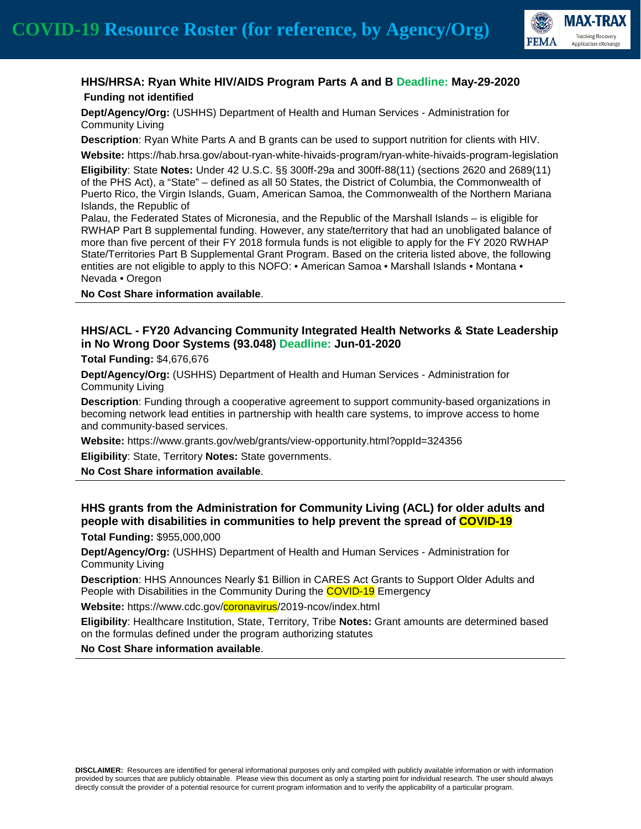

## **HHS/HRSA: Ryan White HIV/AIDS Program Parts A and B Deadline: May-29-2020 Funding not identified**

**Dept/Agency/Org:** (USHHS) Department of Health and Human Services - Administration for Community Living

**Description**: Ryan White Parts A and B grants can be used to support nutrition for clients with HIV.

**Website:** https://hab.hrsa.gov/about-ryan-white-hivaids-program/ryan-white-hivaids-program-legislation

**Eligibility**: State **Notes:** Under 42 U.S.C. §§ 300ff-29a and 300ff-88(11) (sections 2620 and 2689(11) of the PHS Act), a "State" – defined as all 50 States, the District of Columbia, the Commonwealth of Puerto Rico, the Virgin Islands, Guam, American Samoa, the Commonwealth of the Northern Mariana Islands, the Republic of

Palau, the Federated States of Micronesia, and the Republic of the Marshall Islands – is eligible for RWHAP Part B supplemental funding. However, any state/territory that had an unobligated balance of more than five percent of their FY 2018 formula funds is not eligible to apply for the FY 2020 RWHAP State/Territories Part B Supplemental Grant Program. Based on the criteria listed above, the following entities are not eligible to apply to this NOFO: • American Samoa • Marshall Islands • Montana • Nevada • Oregon

#### **No Cost Share information available**.

# **HHS/ACL - FY20 Advancing Community Integrated Health Networks & State Leadership in No Wrong Door Systems (93.048) Deadline: Jun-01-2020**

**Total Funding:** \$4,676,676

**Dept/Agency/Org:** (USHHS) Department of Health and Human Services - Administration for Community Living

**Description**: Funding through a cooperative agreement to support community-based organizations in becoming network lead entities in partnership with health care systems, to improve access to home and community-based services.

**Website:** https://www.grants.gov/web/grants/view-opportunity.html?oppId=324356

**Eligibility**: State, Territory **Notes:** State governments.

**No Cost Share information available**.

## **HHS grants from the Administration for Community Living (ACL) for older adults and people with disabilities in communities to help prevent the spread of COVID-19**

**Total Funding:** \$955,000,000

**Dept/Agency/Org:** (USHHS) Department of Health and Human Services - Administration for Community Living

**Description**: HHS Announces Nearly \$1 Billion in CARES Act Grants to Support Older Adults and People with Disabilities in the Community During the **COVID-19** Emergency

**Website:** https://www.cdc.gov/coronavirus/2019-ncov/index.html

**Eligibility**: Healthcare Institution, State, Territory, Tribe **Notes:** Grant amounts are determined based on the formulas defined under the program authorizing statutes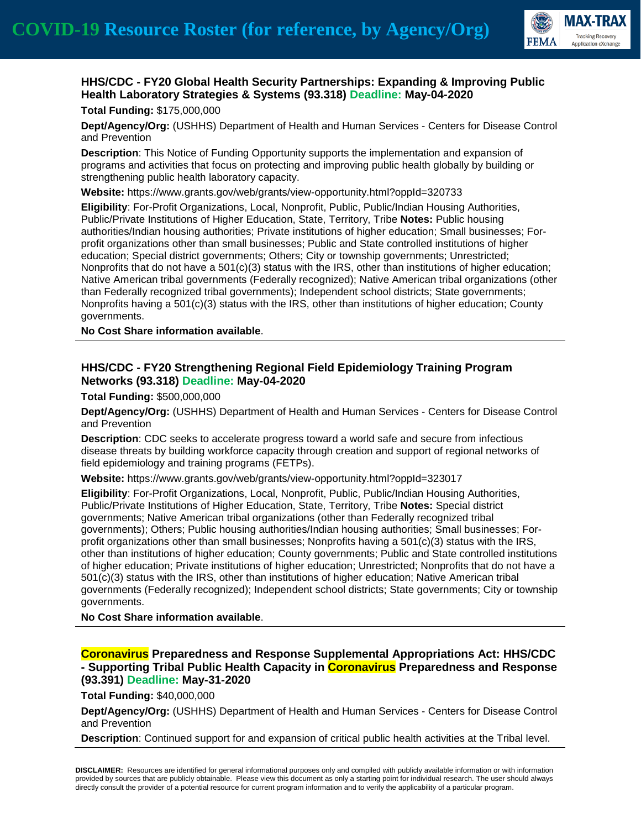

## **HHS/CDC - FY20 Global Health Security Partnerships: Expanding & Improving Public Health Laboratory Strategies & Systems (93.318) Deadline: May-04-2020**

#### **Total Funding:** \$175,000,000

**Dept/Agency/Org:** (USHHS) Department of Health and Human Services - Centers for Disease Control and Prevention

**Description**: This Notice of Funding Opportunity supports the implementation and expansion of programs and activities that focus on protecting and improving public health globally by building or strengthening public health laboratory capacity.

**Website:** https://www.grants.gov/web/grants/view-opportunity.html?oppId=320733

**Eligibility**: For-Profit Organizations, Local, Nonprofit, Public, Public/Indian Housing Authorities, Public/Private Institutions of Higher Education, State, Territory, Tribe **Notes:** Public housing authorities/Indian housing authorities; Private institutions of higher education; Small businesses; Forprofit organizations other than small businesses; Public and State controlled institutions of higher education; Special district governments; Others; City or township governments; Unrestricted; Nonprofits that do not have a 501(c)(3) status with the IRS, other than institutions of higher education; Native American tribal governments (Federally recognized); Native American tribal organizations (other than Federally recognized tribal governments); Independent school districts; State governments; Nonprofits having a 501(c)(3) status with the IRS, other than institutions of higher education; County governments.

**No Cost Share information available**.

### **HHS/CDC - FY20 Strengthening Regional Field Epidemiology Training Program Networks (93.318) Deadline: May-04-2020**

**Total Funding:** \$500,000,000

**Dept/Agency/Org:** (USHHS) Department of Health and Human Services - Centers for Disease Control and Prevention

**Description**: CDC seeks to accelerate progress toward a world safe and secure from infectious disease threats by building workforce capacity through creation and support of regional networks of field epidemiology and training programs (FETPs).

**Website:** https://www.grants.gov/web/grants/view-opportunity.html?oppId=323017

**Eligibility**: For-Profit Organizations, Local, Nonprofit, Public, Public/Indian Housing Authorities, Public/Private Institutions of Higher Education, State, Territory, Tribe **Notes:** Special district governments; Native American tribal organizations (other than Federally recognized tribal governments); Others; Public housing authorities/Indian housing authorities; Small businesses; Forprofit organizations other than small businesses; Nonprofits having a  $501(c)(3)$  status with the IRS, other than institutions of higher education; County governments; Public and State controlled institutions of higher education; Private institutions of higher education; Unrestricted; Nonprofits that do not have a 501(c)(3) status with the IRS, other than institutions of higher education; Native American tribal governments (Federally recognized); Independent school districts; State governments; City or township governments.

**No Cost Share information available**.

#### **Coronavirus Preparedness and Response Supplemental Appropriations Act: HHS/CDC - Supporting Tribal Public Health Capacity in Coronavirus Preparedness and Response (93.391) Deadline: May-31-2020**

**Total Funding:** \$40,000,000

**Dept/Agency/Org:** (USHHS) Department of Health and Human Services - Centers for Disease Control and Prevention

**Description**: Continued support for and expansion of critical public health activities at the Tribal level.

**DISCLAIMER:** Resources are identified for general informational purposes only and compiled with publicly available information or with information provided by sources that are publicly obtainable. Please view this document as only a starting point for individual research. The user should always directly consult the provider of a potential resource for current program information and to verify the applicability of a particular program.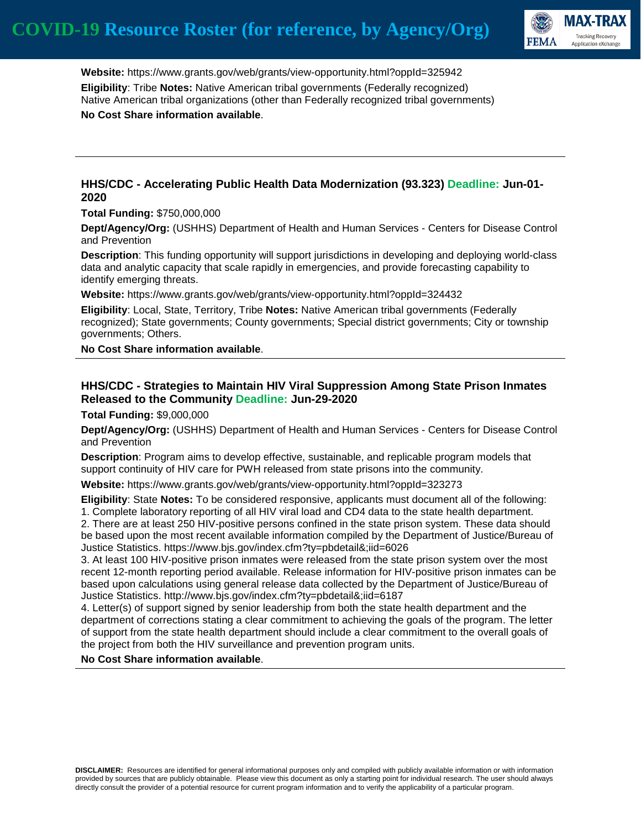

 **Website:** https://www.grants.gov/web/grants/view-opportunity.html?oppId=325942 **Eligibility**: Tribe **Notes:** Native American tribal governments (Federally recognized) Native American tribal organizations (other than Federally recognized tribal governments) **No Cost Share information available**.

### **HHS/CDC - Accelerating Public Health Data Modernization (93.323) Deadline: Jun-01- 2020**

**Total Funding:** \$750,000,000

**Dept/Agency/Org:** (USHHS) Department of Health and Human Services - Centers for Disease Control and Prevention

**Description**: This funding opportunity will support jurisdictions in developing and deploying world-class data and analytic capacity that scale rapidly in emergencies, and provide forecasting capability to identify emerging threats.

**Website:** https://www.grants.gov/web/grants/view-opportunity.html?oppId=324432

**Eligibility**: Local, State, Territory, Tribe **Notes:** Native American tribal governments (Federally recognized); State governments; County governments; Special district governments; City or township governments; Others.

**No Cost Share information available**.

### **HHS/CDC - Strategies to Maintain HIV Viral Suppression Among State Prison Inmates Released to the Community Deadline: Jun-29-2020**

**Total Funding:** \$9,000,000

**Dept/Agency/Org:** (USHHS) Department of Health and Human Services - Centers for Disease Control and Prevention

**Description**: Program aims to develop effective, sustainable, and replicable program models that support continuity of HIV care for PWH released from state prisons into the community.

**Website:** https://www.grants.gov/web/grants/view-opportunity.html?oppId=323273

**Eligibility**: State **Notes:** To be considered responsive, applicants must document all of the following: 1. Complete laboratory reporting of all HIV viral load and CD4 data to the state health department.

2. There are at least 250 HIV-positive persons confined in the state prison system. These data should be based upon the most recent available information compiled by the Department of Justice/Bureau of Justice Statistics. https://www.bjs.gov/index.cfm?ty=pbdetail&;iid=6026

3. At least 100 HIV-positive prison inmates were released from the state prison system over the most recent 12-month reporting period available. Release information for HIV-positive prison inmates can be based upon calculations using general release data collected by the Department of Justice/Bureau of Justice Statistics. http://www.bjs.gov/index.cfm?ty=pbdetail&;iid=6187

4. Letter(s) of support signed by senior leadership from both the state health department and the department of corrections stating a clear commitment to achieving the goals of the program. The letter of support from the state health department should include a clear commitment to the overall goals of the project from both the HIV surveillance and prevention program units.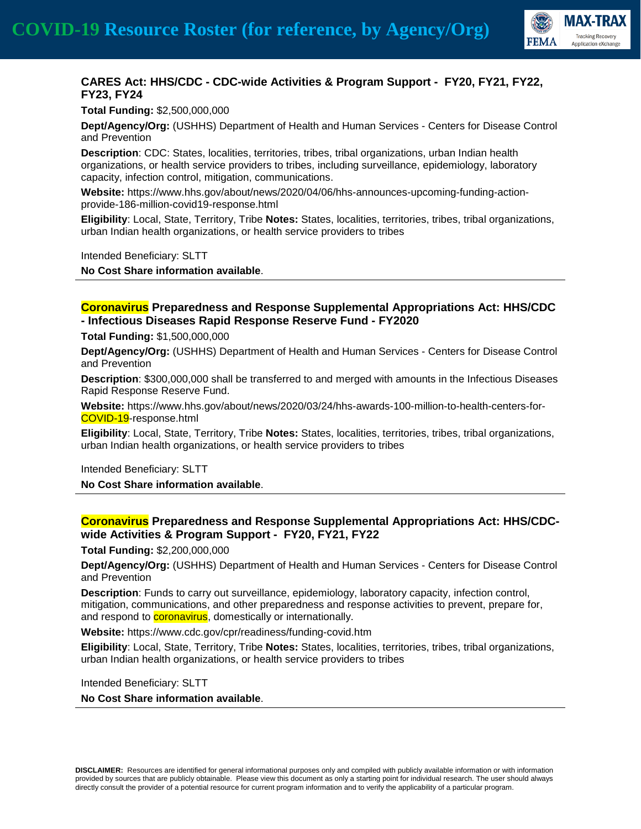

## **CARES Act: HHS/CDC - CDC-wide Activities & Program Support - FY20, FY21, FY22, FY23, FY24**

**Total Funding:** \$2,500,000,000

**Dept/Agency/Org:** (USHHS) Department of Health and Human Services - Centers for Disease Control and Prevention

**Description**: CDC: States, localities, territories, tribes, tribal organizations, urban Indian health organizations, or health service providers to tribes, including surveillance, epidemiology, laboratory capacity, infection control, mitigation, communications.

**Website:** https://www.hhs.gov/about/news/2020/04/06/hhs-announces-upcoming-funding-actionprovide-186-million-covid19-response.html

**Eligibility**: Local, State, Territory, Tribe **Notes:** States, localities, territories, tribes, tribal organizations, urban Indian health organizations, or health service providers to tribes

Intended Beneficiary: SLTT

**No Cost Share information available**.

#### **Coronavirus Preparedness and Response Supplemental Appropriations Act: HHS/CDC - Infectious Diseases Rapid Response Reserve Fund - FY2020**

**Total Funding:** \$1,500,000,000

**Dept/Agency/Org:** (USHHS) Department of Health and Human Services - Centers for Disease Control and Prevention

**Description**: \$300,000,000 shall be transferred to and merged with amounts in the Infectious Diseases Rapid Response Reserve Fund.

**Website:** https://www.hhs.gov/about/news/2020/03/24/hhs-awards-100-million-to-health-centers-for-COVID-19-response.html

**Eligibility**: Local, State, Territory, Tribe **Notes:** States, localities, territories, tribes, tribal organizations, urban Indian health organizations, or health service providers to tribes

Intended Beneficiary: SLTT **No Cost Share information available**.

### **Coronavirus Preparedness and Response Supplemental Appropriations Act: HHS/CDCwide Activities & Program Support - FY20, FY21, FY22**

**Total Funding:** \$2,200,000,000

**Dept/Agency/Org:** (USHHS) Department of Health and Human Services - Centers for Disease Control and Prevention

**Description**: Funds to carry out surveillance, epidemiology, laboratory capacity, infection control, mitigation, communications, and other preparedness and response activities to prevent, prepare for, and respond to **coronavirus**, domestically or internationally.

**Website:** https://www.cdc.gov/cpr/readiness/funding-covid.htm

**Eligibility**: Local, State, Territory, Tribe **Notes:** States, localities, territories, tribes, tribal organizations, urban Indian health organizations, or health service providers to tribes

Intended Beneficiary: SLTT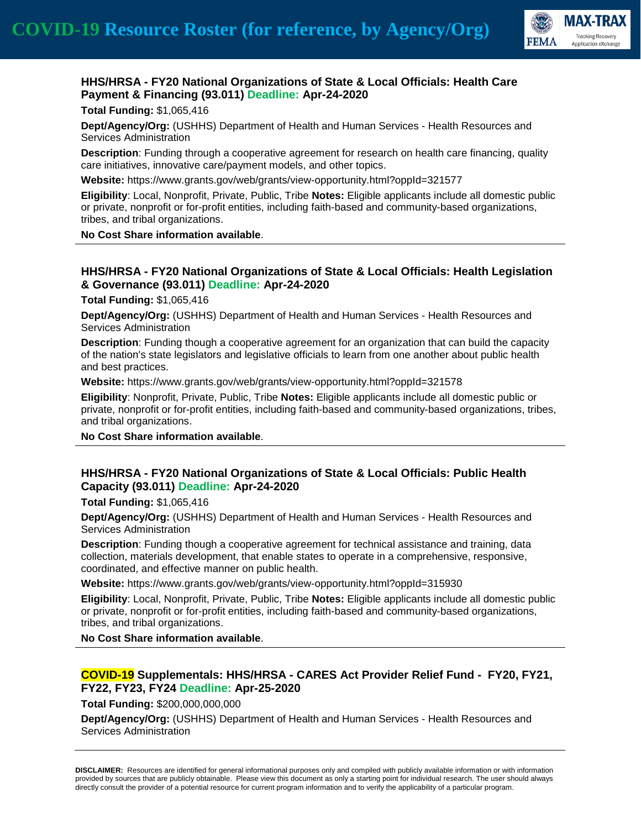

### **HHS/HRSA - FY20 National Organizations of State & Local Officials: Health Care Payment & Financing (93.011) Deadline: Apr-24-2020**

**Total Funding:** \$1,065,416

**Dept/Agency/Org:** (USHHS) Department of Health and Human Services - Health Resources and Services Administration

**Description**: Funding through a cooperative agreement for research on health care financing, quality care initiatives, innovative care/payment models, and other topics.

**Website:** https://www.grants.gov/web/grants/view-opportunity.html?oppId=321577

**Eligibility**: Local, Nonprofit, Private, Public, Tribe **Notes:** Eligible applicants include all domestic public or private, nonprofit or for-profit entities, including faith-based and community-based organizations, tribes, and tribal organizations.

**No Cost Share information available**.

### **HHS/HRSA - FY20 National Organizations of State & Local Officials: Health Legislation & Governance (93.011) Deadline: Apr-24-2020**

**Total Funding:** \$1,065,416

**Dept/Agency/Org:** (USHHS) Department of Health and Human Services - Health Resources and Services Administration

**Description**: Funding though a cooperative agreement for an organization that can build the capacity of the nation's state legislators and legislative officials to learn from one another about public health and best practices.

**Website:** https://www.grants.gov/web/grants/view-opportunity.html?oppId=321578

**Eligibility**: Nonprofit, Private, Public, Tribe **Notes:** Eligible applicants include all domestic public or private, nonprofit or for-profit entities, including faith-based and community-based organizations, tribes, and tribal organizations.

**No Cost Share information available**.

### **HHS/HRSA - FY20 National Organizations of State & Local Officials: Public Health Capacity (93.011) Deadline: Apr-24-2020**

**Total Funding:** \$1,065,416

**Dept/Agency/Org:** (USHHS) Department of Health and Human Services - Health Resources and Services Administration

**Description**: Funding though a cooperative agreement for technical assistance and training, data collection, materials development, that enable states to operate in a comprehensive, responsive, coordinated, and effective manner on public health.

**Website:** https://www.grants.gov/web/grants/view-opportunity.html?oppId=315930

**Eligibility**: Local, Nonprofit, Private, Public, Tribe **Notes:** Eligible applicants include all domestic public or private, nonprofit or for-profit entities, including faith-based and community-based organizations, tribes, and tribal organizations.

**No Cost Share information available**.

### **COVID-19 Supplementals: HHS/HRSA - CARES Act Provider Relief Fund - FY20, FY21, FY22, FY23, FY24 Deadline: Apr-25-2020**

**Total Funding:** \$200,000,000,000

**Dept/Agency/Org:** (USHHS) Department of Health and Human Services - Health Resources and Services Administration

**DISCLAIMER:** Resources are identified for general informational purposes only and compiled with publicly available information or with information provided by sources that are publicly obtainable. Please view this document as only a starting point for individual research. The user should always directly consult the provider of a potential resource for current program information and to verify the applicability of a particular program.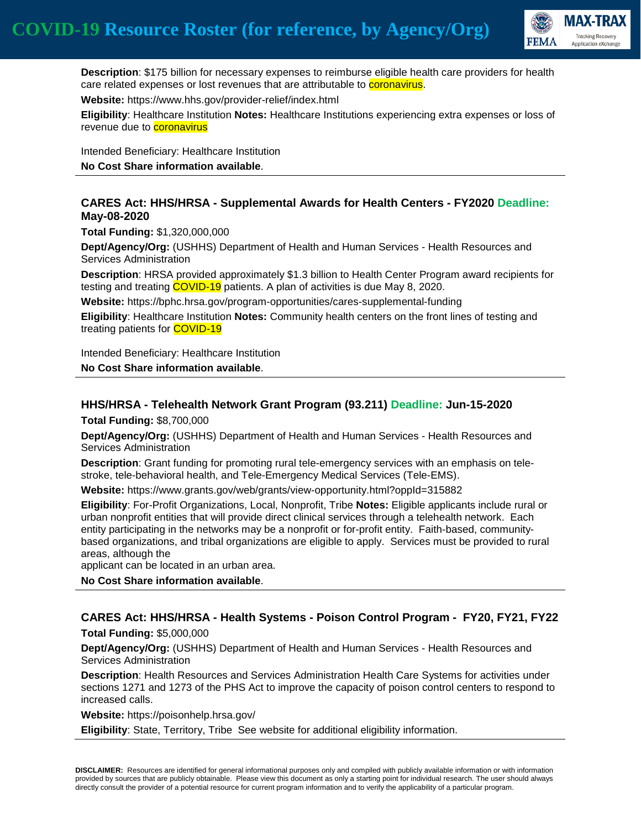

 **Description**: \$175 billion for necessary expenses to reimburse eligible health care providers for health care related expenses or lost revenues that are attributable to **coronavirus**.

**Website:** https://www.hhs.gov/provider-relief/index.html

**Eligibility**: Healthcare Institution **Notes:** Healthcare Institutions experiencing extra expenses or loss of revenue due to **coronavirus** 

Intended Beneficiary: Healthcare Institution

**No Cost Share information available**.

#### **CARES Act: HHS/HRSA - Supplemental Awards for Health Centers - FY2020 Deadline: May-08-2020**

**Total Funding:** \$1,320,000,000

**Dept/Agency/Org:** (USHHS) Department of Health and Human Services - Health Resources and Services Administration

**Description**: HRSA provided approximately \$1.3 billion to Health Center Program award recipients for testing and treating COVID-19 patients. A plan of activities is due May 8, 2020.

**Website:** https://bphc.hrsa.gov/program-opportunities/cares-supplemental-funding

**Eligibility**: Healthcare Institution **Notes:** Community health centers on the front lines of testing and treating patients for **COVID-19** 

Intended Beneficiary: Healthcare Institution

**No Cost Share information available**.

# **HHS/HRSA - Telehealth Network Grant Program (93.211) Deadline: Jun-15-2020**

**Total Funding:** \$8,700,000

**Dept/Agency/Org:** (USHHS) Department of Health and Human Services - Health Resources and Services Administration

**Description**: Grant funding for promoting rural tele-emergency services with an emphasis on telestroke, tele-behavioral health, and Tele-Emergency Medical Services (Tele-EMS).

**Website:** https://www.grants.gov/web/grants/view-opportunity.html?oppId=315882

**Eligibility**: For-Profit Organizations, Local, Nonprofit, Tribe **Notes:** Eligible applicants include rural or urban nonprofit entities that will provide direct clinical services through a telehealth network. Each entity participating in the networks may be a nonprofit or for-profit entity. Faith-based, communitybased organizations, and tribal organizations are eligible to apply. Services must be provided to rural areas, although the

applicant can be located in an urban area.

**No Cost Share information available**.

#### **CARES Act: HHS/HRSA - Health Systems - Poison Control Program - FY20, FY21, FY22 Total Funding:** \$5,000,000

**Dept/Agency/Org:** (USHHS) Department of Health and Human Services - Health Resources and Services Administration

**Description**: Health Resources and Services Administration Health Care Systems for activities under sections 1271 and 1273 of the PHS Act to improve the capacity of poison control centers to respond to increased calls.

**Website:** https://poisonhelp.hrsa.gov/

**Eligibility**: State, Territory, Tribe See website for additional eligibility information.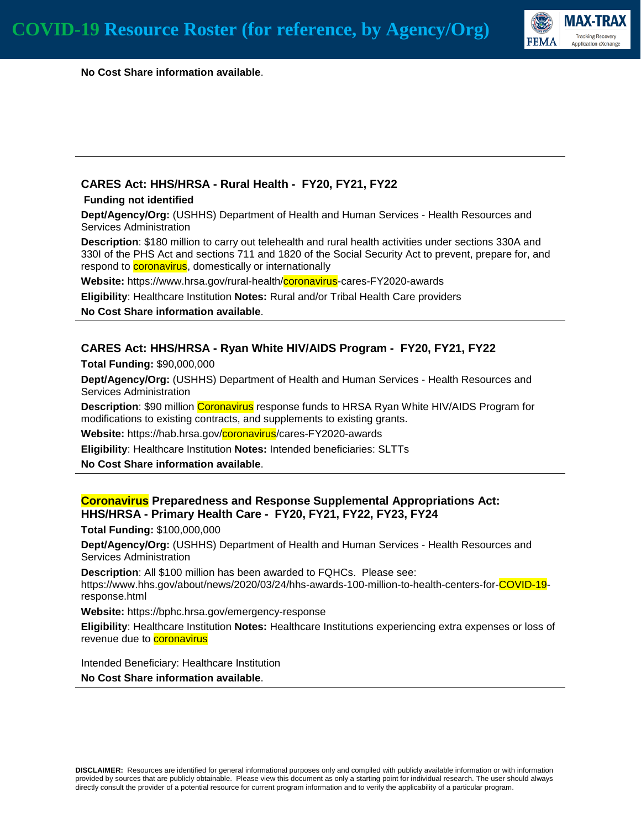

 **No Cost Share information available**.

### **CARES Act: HHS/HRSA - Rural Health - FY20, FY21, FY22**

#### **Funding not identified**

**Dept/Agency/Org:** (USHHS) Department of Health and Human Services - Health Resources and Services Administration

**Description**: \$180 million to carry out telehealth and rural health activities under sections 330A and 330I of the PHS Act and sections 711 and 1820 of the Social Security Act to prevent, prepare for, and respond to **coronavirus**, domestically or internationally

**Website:** https://www.hrsa.gov/rural-health/coronavirus-cares-FY2020-awards

**Eligibility**: Healthcare Institution **Notes:** Rural and/or Tribal Health Care providers **No Cost Share information available**.

### **CARES Act: HHS/HRSA - Ryan White HIV/AIDS Program - FY20, FY21, FY22**

**Total Funding:** \$90,000,000

**Dept/Agency/Org:** (USHHS) Department of Health and Human Services - Health Resources and Services Administration

**Description**: \$90 million Coronavirus response funds to HRSA Ryan White HIV/AIDS Program for modifications to existing contracts, and supplements to existing grants.

**Website:** https://hab.hrsa.gov/coronavirus/cares-FY2020-awards

**Eligibility**: Healthcare Institution **Notes:** Intended beneficiaries: SLTTs

**No Cost Share information available**.

#### **Coronavirus Preparedness and Response Supplemental Appropriations Act: HHS/HRSA - Primary Health Care - FY20, FY21, FY22, FY23, FY24**

**Total Funding:** \$100,000,000

**Dept/Agency/Org:** (USHHS) Department of Health and Human Services - Health Resources and Services Administration

**Description**: All \$100 million has been awarded to FQHCs. Please see: https://www.hhs.gov/about/news/2020/03/24/hhs-awards-100-million-to-health-centers-for-COVID-19 response.html

**Website:** https://bphc.hrsa.gov/emergency-response

**Eligibility**: Healthcare Institution **Notes:** Healthcare Institutions experiencing extra expenses or loss of revenue due to **coronavirus** 

Intended Beneficiary: Healthcare Institution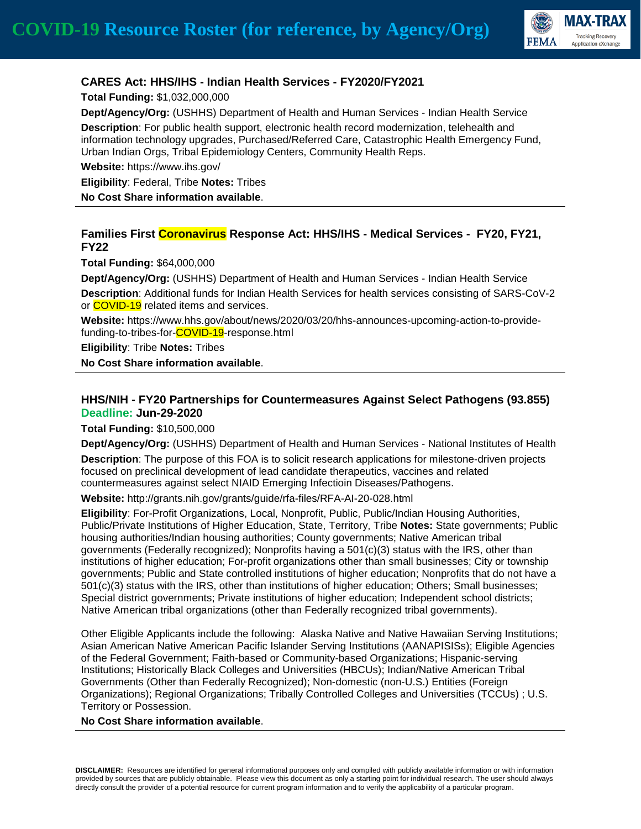

### **CARES Act: HHS/IHS - Indian Health Services - FY2020/FY2021**

**Total Funding:** \$1,032,000,000

**Dept/Agency/Org:** (USHHS) Department of Health and Human Services - Indian Health Service

**Description**: For public health support, electronic health record modernization, telehealth and information technology upgrades, Purchased/Referred Care, Catastrophic Health Emergency Fund, Urban Indian Orgs, Tribal Epidemiology Centers, Community Health Reps.

**Website:** https://www.ihs.gov/

**Eligibility**: Federal, Tribe **Notes:** Tribes

**No Cost Share information available**.

### **Families First Coronavirus Response Act: HHS/IHS - Medical Services - FY20, FY21, FY22**

**Total Funding:** \$64,000,000

**Dept/Agency/Org:** (USHHS) Department of Health and Human Services - Indian Health Service **Description**: Additional funds for Indian Health Services for health services consisting of SARS-CoV-2 or **COVID-19** related items and services.

**Website:** https://www.hhs.gov/about/news/2020/03/20/hhs-announces-upcoming-action-to-providefunding-to-tribes-for-COVID-19-response.html

**Eligibility**: Tribe **Notes:** Tribes

**No Cost Share information available**.

### **HHS/NIH - FY20 Partnerships for Countermeasures Against Select Pathogens (93.855) Deadline: Jun-29-2020**

**Total Funding:** \$10,500,000

**Dept/Agency/Org:** (USHHS) Department of Health and Human Services - National Institutes of Health **Description**: The purpose of this FOA is to solicit research applications for milestone-driven projects focused on preclinical development of lead candidate therapeutics, vaccines and related countermeasures against select NIAID Emerging Infectioin Diseases/Pathogens.

**Website:** http://grants.nih.gov/grants/guide/rfa-files/RFA-AI-20-028.html

**Eligibility**: For-Profit Organizations, Local, Nonprofit, Public, Public/Indian Housing Authorities, Public/Private Institutions of Higher Education, State, Territory, Tribe **Notes:** State governments; Public housing authorities/Indian housing authorities; County governments; Native American tribal governments (Federally recognized); Nonprofits having a 501(c)(3) status with the IRS, other than institutions of higher education; For-profit organizations other than small businesses; City or township governments; Public and State controlled institutions of higher education; Nonprofits that do not have a 501(c)(3) status with the IRS, other than institutions of higher education; Others; Small businesses; Special district governments; Private institutions of higher education; Independent school districts; Native American tribal organizations (other than Federally recognized tribal governments).

Other Eligible Applicants include the following: Alaska Native and Native Hawaiian Serving Institutions; Asian American Native American Pacific Islander Serving Institutions (AANAPISISs); Eligible Agencies of the Federal Government; Faith-based or Community-based Organizations; Hispanic-serving Institutions; Historically Black Colleges and Universities (HBCUs); Indian/Native American Tribal Governments (Other than Federally Recognized); Non-domestic (non-U.S.) Entities (Foreign Organizations); Regional Organizations; Tribally Controlled Colleges and Universities (TCCUs) ; U.S. Territory or Possession.

**No Cost Share information available**.

**DISCLAIMER:** Resources are identified for general informational purposes only and compiled with publicly available information or with information provided by sources that are publicly obtainable. Please view this document as only a starting point for individual research. The user should always directly consult the provider of a potential resource for current program information and to verify the applicability of a particular program.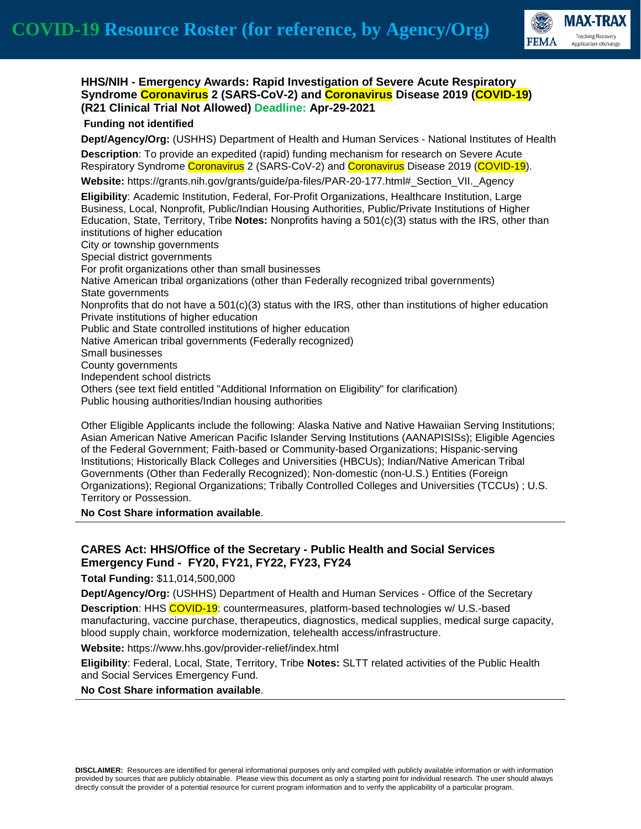

### **HHS/NIH - Emergency Awards: Rapid Investigation of Severe Acute Respiratory Syndrome Coronavirus 2 (SARS-CoV-2) and Coronavirus Disease 2019 (COVID-19) (R21 Clinical Trial Not Allowed) Deadline: Apr-29-2021**

#### **Funding not identified**

**Dept/Agency/Org:** (USHHS) Department of Health and Human Services - National Institutes of Health **Description**: To provide an expedited (rapid) funding mechanism for research on Severe Acute Respiratory Syndrome Coronavirus 2 (SARS-CoV-2) and Coronavirus Disease 2019 (COVID-19).

**Website:** https://grants.nih.gov/grants/guide/pa-files/PAR-20-177.html#\_Section\_VII.\_Agency

**Eligibility**: Academic Institution, Federal, For-Profit Organizations, Healthcare Institution, Large Business, Local, Nonprofit, Public/Indian Housing Authorities, Public/Private Institutions of Higher Education, State, Territory, Tribe **Notes:** Nonprofits having a 501(c)(3) status with the IRS, other than institutions of higher education City or township governments Special district governments For profit organizations other than small businesses Native American tribal organizations (other than Federally recognized tribal governments) State governments Nonprofits that do not have a  $501(c)(3)$  status with the IRS, other than institutions of higher education Private institutions of higher education Public and State controlled institutions of higher education Native American tribal governments (Federally recognized) Small businesses County governments

Independent school districts

Others (see text field entitled "Additional Information on Eligibility" for clarification)

Public housing authorities/Indian housing authorities

Other Eligible Applicants include the following: Alaska Native and Native Hawaiian Serving Institutions; Asian American Native American Pacific Islander Serving Institutions (AANAPISISs); Eligible Agencies of the Federal Government; Faith-based or Community-based Organizations; Hispanic-serving Institutions; Historically Black Colleges and Universities (HBCUs); Indian/Native American Tribal Governments (Other than Federally Recognized); Non-domestic (non-U.S.) Entities (Foreign Organizations); Regional Organizations; Tribally Controlled Colleges and Universities (TCCUs) ; U.S. Territory or Possession.

**No Cost Share information available**.

### **CARES Act: HHS/Office of the Secretary - Public Health and Social Services Emergency Fund - FY20, FY21, FY22, FY23, FY24**

**Total Funding:** \$11,014,500,000

**Dept/Agency/Org:** (USHHS) Department of Health and Human Services - Office of the Secretary **Description**: HHS COVID-19: countermeasures, platform-based technologies w/ U.S.-based manufacturing, vaccine purchase, therapeutics, diagnostics, medical supplies, medical surge capacity, blood supply chain, workforce modernization, telehealth access/infrastructure.

**Website:** https://www.hhs.gov/provider-relief/index.html

**Eligibility**: Federal, Local, State, Territory, Tribe **Notes:** SLTT related activities of the Public Health and Social Services Emergency Fund.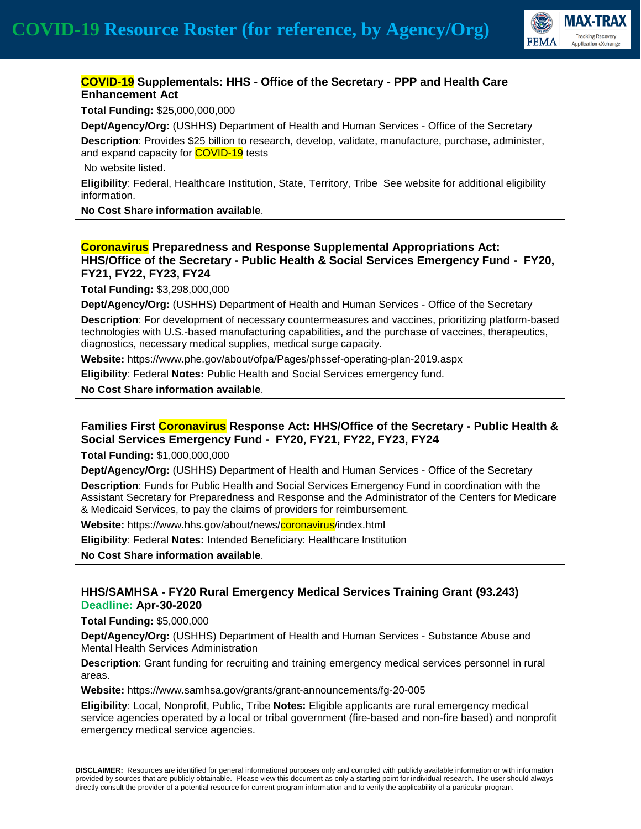

# **COVID-19 Supplementals: HHS - Office of the Secretary - PPP and Health Care Enhancement Act**

**Total Funding:** \$25,000,000,000

**Dept/Agency/Org:** (USHHS) Department of Health and Human Services - Office of the Secretary **Description**: Provides \$25 billion to research, develop, validate, manufacture, purchase, administer, and expand capacity for **COVID-19** tests

No website listed.

**Eligibility**: Federal, Healthcare Institution, State, Territory, Tribe See website for additional eligibility information.

**No Cost Share information available**.

### **Coronavirus Preparedness and Response Supplemental Appropriations Act: HHS/Office of the Secretary - Public Health & Social Services Emergency Fund - FY20, FY21, FY22, FY23, FY24**

**Total Funding:** \$3,298,000,000

**Dept/Agency/Org:** (USHHS) Department of Health and Human Services - Office of the Secretary

**Description**: For development of necessary countermeasures and vaccines, prioritizing platform-based technologies with U.S.-based manufacturing capabilities, and the purchase of vaccines, therapeutics, diagnostics, necessary medical supplies, medical surge capacity.

**Website:** https://www.phe.gov/about/ofpa/Pages/phssef-operating-plan-2019.aspx

**Eligibility**: Federal **Notes:** Public Health and Social Services emergency fund.

**No Cost Share information available**.

## **Families First Coronavirus Response Act: HHS/Office of the Secretary - Public Health & Social Services Emergency Fund - FY20, FY21, FY22, FY23, FY24**

**Total Funding:** \$1,000,000,000

**Dept/Agency/Org:** (USHHS) Department of Health and Human Services - Office of the Secretary **Description**: Funds for Public Health and Social Services Emergency Fund in coordination with the Assistant Secretary for Preparedness and Response and the Administrator of the Centers for Medicare & Medicaid Services, to pay the claims of providers for reimbursement.

**Website:** https://www.hhs.gov/about/news/coronavirus/index.html

**Eligibility**: Federal **Notes:** Intended Beneficiary: Healthcare Institution

**No Cost Share information available**.

### **HHS/SAMHSA - FY20 Rural Emergency Medical Services Training Grant (93.243) Deadline: Apr-30-2020**

**Total Funding:** \$5,000,000

**Dept/Agency/Org:** (USHHS) Department of Health and Human Services - Substance Abuse and Mental Health Services Administration

**Description**: Grant funding for recruiting and training emergency medical services personnel in rural areas.

**Website:** https://www.samhsa.gov/grants/grant-announcements/fg-20-005

**Eligibility**: Local, Nonprofit, Public, Tribe **Notes:** Eligible applicants are rural emergency medical service agencies operated by a local or tribal government (fire-based and non-fire based) and nonprofit emergency medical service agencies.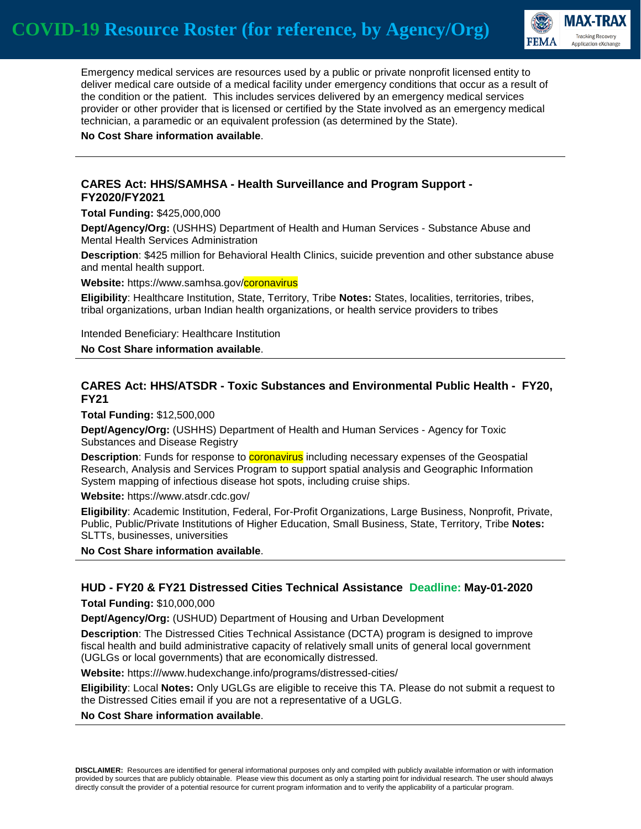

 Emergency medical services are resources used by a public or private nonprofit licensed entity to deliver medical care outside of a medical facility under emergency conditions that occur as a result of the condition or the patient. This includes services delivered by an emergency medical services provider or other provider that is licensed or certified by the State involved as an emergency medical technician, a paramedic or an equivalent profession (as determined by the State).

**No Cost Share information available**.

#### **CARES Act: HHS/SAMHSA - Health Surveillance and Program Support - FY2020/FY2021**

**Total Funding:** \$425,000,000

**Dept/Agency/Org:** (USHHS) Department of Health and Human Services - Substance Abuse and Mental Health Services Administration

**Description**: \$425 million for Behavioral Health Clinics, suicide prevention and other substance abuse and mental health support.

**Website:** https://www.samhsa.gov/**coronavirus** 

**Eligibility**: Healthcare Institution, State, Territory, Tribe **Notes:** States, localities, territories, tribes, tribal organizations, urban Indian health organizations, or health service providers to tribes

Intended Beneficiary: Healthcare Institution

**No Cost Share information available**.

### **CARES Act: HHS/ATSDR - Toxic Substances and Environmental Public Health - FY20, FY21**

**Total Funding:** \$12,500,000

**Dept/Agency/Org:** (USHHS) Department of Health and Human Services - Agency for Toxic Substances and Disease Registry

**Description**: Funds for response to **coronavirus** including necessary expenses of the Geospatial Research, Analysis and Services Program to support spatial analysis and Geographic Information System mapping of infectious disease hot spots, including cruise ships.

**Website:** https://www.atsdr.cdc.gov/

**Eligibility**: Academic Institution, Federal, For-Profit Organizations, Large Business, Nonprofit, Private, Public, Public/Private Institutions of Higher Education, Small Business, State, Territory, Tribe **Notes:** SLTTs, businesses, universities

**No Cost Share information available**.

#### **HUD - FY20 & FY21 Distressed Cities Technical Assistance Deadline: May-01-2020**

**Total Funding:** \$10,000,000

**Dept/Agency/Org:** (USHUD) Department of Housing and Urban Development

**Description**: The Distressed Cities Technical Assistance (DCTA) program is designed to improve fiscal health and build administrative capacity of relatively small units of general local government (UGLGs or local governments) that are economically distressed.

**Website:** https:///www.hudexchange.info/programs/distressed-cities/

**Eligibility**: Local **Notes:** Only UGLGs are eligible to receive this TA. Please do not submit a request to the Distressed Cities email if you are not a representative of a UGLG.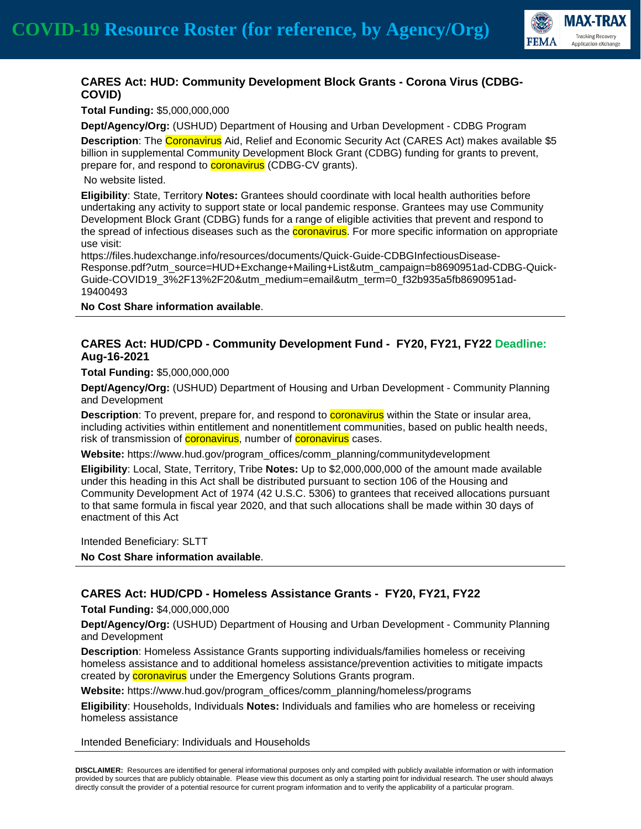

# **CARES Act: HUD: Community Development Block Grants - Corona Virus (CDBG-COVID)**

**Total Funding:** \$5,000,000,000

**Dept/Agency/Org:** (USHUD) Department of Housing and Urban Development - CDBG Program **Description**: The Coronavirus Aid, Relief and Economic Security Act (CARES Act) makes available \$5 billion in supplemental Community Development Block Grant (CDBG) funding for grants to prevent, prepare for, and respond to **coronavirus** (CDBG-CV grants).

No website listed.

**Eligibility**: State, Territory **Notes:** Grantees should coordinate with local health authorities before undertaking any activity to support state or local pandemic response. Grantees may use Community Development Block Grant (CDBG) funds for a range of eligible activities that prevent and respond to the spread of infectious diseases such as the **coronavirus**. For more specific information on appropriate use visit:

https://files.hudexchange.info/resources/documents/Quick-Guide-CDBGInfectiousDisease-Response.pdf?utm\_source=HUD+Exchange+Mailing+List&utm\_campaign=b8690951ad-CDBG-Quick-Guide-COVID19\_3%2F13%2F20&utm\_medium=email&utm\_term=0\_f32b935a5fb8690951ad-19400493

**No Cost Share information available**.

#### **CARES Act: HUD/CPD - Community Development Fund - FY20, FY21, FY22 Deadline: Aug-16-2021**

**Total Funding:** \$5,000,000,000

**Dept/Agency/Org:** (USHUD) Department of Housing and Urban Development - Community Planning and Development

**Description**: To prevent, prepare for, and respond to **coronavirus** within the State or insular area, including activities within entitlement and nonentitlement communities, based on public health needs, risk of transmission of **coronavirus**, number of **coronavirus** cases.

**Website:** https://www.hud.gov/program\_offices/comm\_planning/communitydevelopment

**Eligibility**: Local, State, Territory, Tribe **Notes:** Up to \$2,000,000,000 of the amount made available under this heading in this Act shall be distributed pursuant to section 106 of the Housing and Community Development Act of 1974 (42 U.S.C. 5306) to grantees that received allocations pursuant to that same formula in fiscal year 2020, and that such allocations shall be made within 30 days of enactment of this Act

Intended Beneficiary: SLTT **No Cost Share information available**.

## **CARES Act: HUD/CPD - Homeless Assistance Grants - FY20, FY21, FY22**

**Total Funding:** \$4,000,000,000

**Dept/Agency/Org:** (USHUD) Department of Housing and Urban Development - Community Planning and Development

**Description**: Homeless Assistance Grants supporting individuals/families homeless or receiving homeless assistance and to additional homeless assistance/prevention activities to mitigate impacts created by **coronavirus** under the Emergency Solutions Grants program.

**Website:** https://www.hud.gov/program\_offices/comm\_planning/homeless/programs

**Eligibility**: Households, Individuals **Notes:** Individuals and families who are homeless or receiving homeless assistance

Intended Beneficiary: Individuals and Households

**DISCLAIMER:** Resources are identified for general informational purposes only and compiled with publicly available information or with information provided by sources that are publicly obtainable. Please view this document as only a starting point for individual research. The user should always directly consult the provider of a potential resource for current program information and to verify the applicability of a particular program.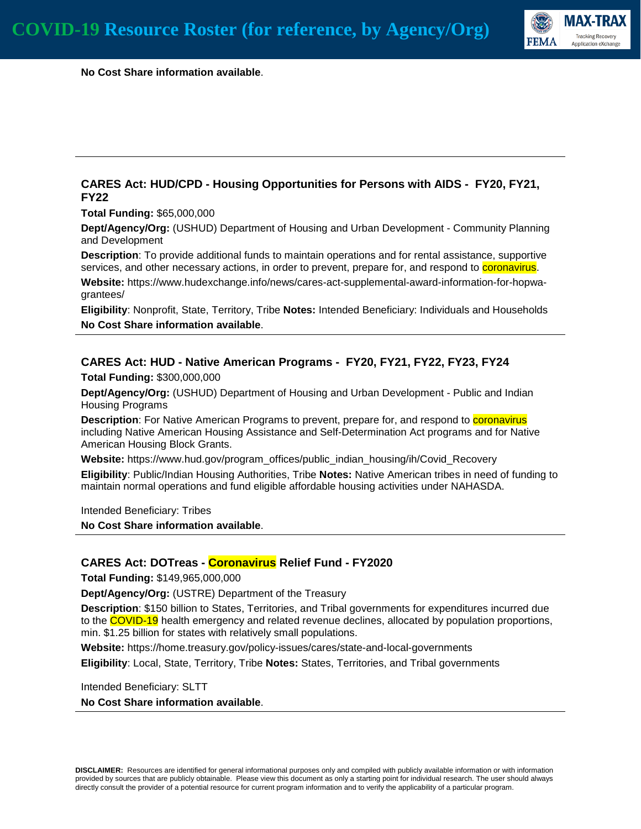

 **No Cost Share information available**.

### **CARES Act: HUD/CPD - Housing Opportunities for Persons with AIDS - FY20, FY21, FY22**

**Total Funding:** \$65,000,000

**Dept/Agency/Org:** (USHUD) Department of Housing and Urban Development - Community Planning and Development

**Description**: To provide additional funds to maintain operations and for rental assistance, supportive services, and other necessary actions, in order to prevent, prepare for, and respond to **coronavirus**.

**Website:** https://www.hudexchange.info/news/cares-act-supplemental-award-information-for-hopwagrantees/

**Eligibility**: Nonprofit, State, Territory, Tribe **Notes:** Intended Beneficiary: Individuals and Households **No Cost Share information available**.

### **CARES Act: HUD - Native American Programs - FY20, FY21, FY22, FY23, FY24**

**Total Funding:** \$300,000,000

**Dept/Agency/Org:** (USHUD) Department of Housing and Urban Development - Public and Indian Housing Programs

Description: For Native American Programs to prevent, prepare for, and respond to **coronavirus** including Native American Housing Assistance and Self-Determination Act programs and for Native American Housing Block Grants.

**Website:** https://www.hud.gov/program\_offices/public\_indian\_housing/ih/Covid\_Recovery

**Eligibility**: Public/Indian Housing Authorities, Tribe **Notes:** Native American tribes in need of funding to maintain normal operations and fund eligible affordable housing activities under NAHASDA.

Intended Beneficiary: Tribes

**No Cost Share information available**.

#### **CARES Act: DOTreas - Coronavirus Relief Fund - FY2020**

**Total Funding:** \$149,965,000,000

**Dept/Agency/Org:** (USTRE) Department of the Treasury

**Description**: \$150 billion to States, Territories, and Tribal governments for expenditures incurred due to the COVID-19 health emergency and related revenue declines, allocated by population proportions, min. \$1.25 billion for states with relatively small populations.

**Website:** https://home.treasury.gov/policy-issues/cares/state-and-local-governments

**Eligibility**: Local, State, Territory, Tribe **Notes:** States, Territories, and Tribal governments

Intended Beneficiary: SLTT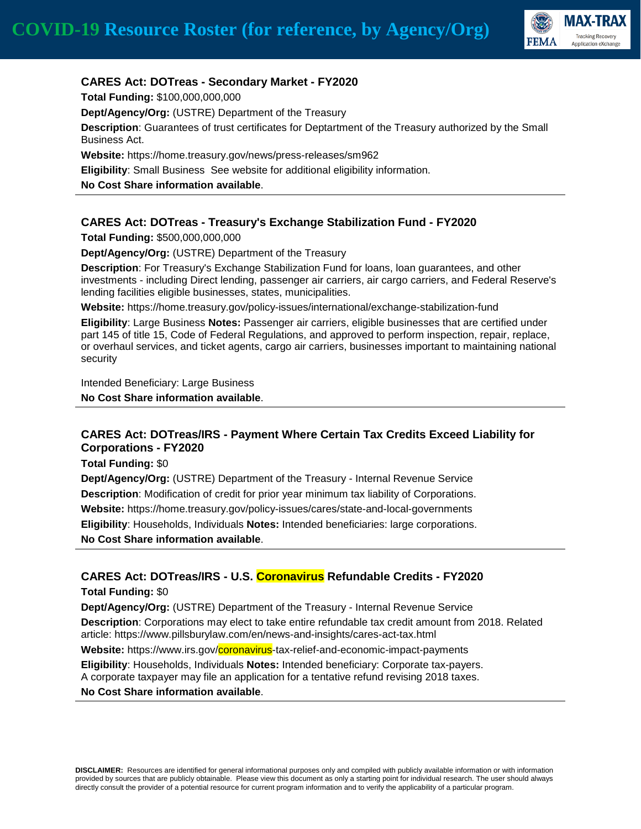

### **CARES Act: DOTreas - Secondary Market - FY2020**

**Total Funding:** \$100,000,000,000

**Dept/Agency/Org:** (USTRE) Department of the Treasury

**Description**: Guarantees of trust certificates for Deptartment of the Treasury authorized by the Small Business Act.

**Website:** https://home.treasury.gov/news/press-releases/sm962

**Eligibility**: Small Business See website for additional eligibility information.

**No Cost Share information available**.

## **CARES Act: DOTreas - Treasury's Exchange Stabilization Fund - FY2020**

**Total Funding:** \$500,000,000,000

**Dept/Agency/Org:** (USTRE) Department of the Treasury

**Description**: For Treasury's Exchange Stabilization Fund for loans, loan guarantees, and other investments - including Direct lending, passenger air carriers, air cargo carriers, and Federal Reserve's lending facilities eligible businesses, states, municipalities.

**Website:** https://home.treasury.gov/policy-issues/international/exchange-stabilization-fund

**Eligibility**: Large Business **Notes:** Passenger air carriers, eligible businesses that are certified under part 145 of title 15, Code of Federal Regulations, and approved to perform inspection, repair, replace, or overhaul services, and ticket agents, cargo air carriers, businesses important to maintaining national security

Intended Beneficiary: Large Business

**No Cost Share information available**.

## **CARES Act: DOTreas/IRS - Payment Where Certain Tax Credits Exceed Liability for Corporations - FY2020**

**Total Funding:** \$0

**Dept/Agency/Org:** (USTRE) Department of the Treasury - Internal Revenue Service **Description**: Modification of credit for prior year minimum tax liability of Corporations. **Website:** https://home.treasury.gov/policy-issues/cares/state-and-local-governments **Eligibility**: Households, Individuals **Notes:** Intended beneficiaries: large corporations. **No Cost Share information available**.

## **CARES Act: DOTreas/IRS - U.S. Coronavirus Refundable Credits - FY2020**

**Total Funding:** \$0

**Dept/Agency/Org:** (USTRE) Department of the Treasury - Internal Revenue Service **Description**: Corporations may elect to take entire refundable tax credit amount from 2018. Related article: https://www.pillsburylaw.com/en/news-and-insights/cares-act-tax.html

Website: https://www.irs.gov/coronavirus-tax-relief-and-economic-impact-payments

**Eligibility**: Households, Individuals **Notes:** Intended beneficiary: Corporate tax-payers.

A corporate taxpayer may file an application for a tentative refund revising 2018 taxes.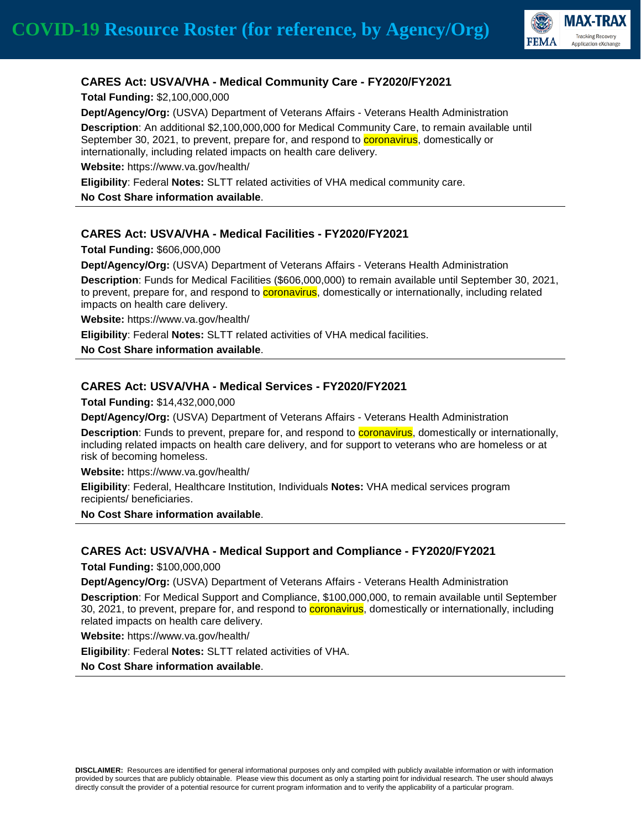

## **CARES Act: USVA/VHA - Medical Community Care - FY2020/FY2021**

**Total Funding:** \$2,100,000,000

**Dept/Agency/Org:** (USVA) Department of Veterans Affairs - Veterans Health Administration

**Description**: An additional \$2,100,000,000 for Medical Community Care, to remain available until September 30, 2021, to prevent, prepare for, and respond to **coronavirus**, domestically or internationally, including related impacts on health care delivery.

**Website:** https://www.va.gov/health/

**Eligibility**: Federal **Notes:** SLTT related activities of VHA medical community care.

**No Cost Share information available**.

### **CARES Act: USVA/VHA - Medical Facilities - FY2020/FY2021**

**Total Funding:** \$606,000,000

**Dept/Agency/Org:** (USVA) Department of Veterans Affairs - Veterans Health Administration **Description**: Funds for Medical Facilities (\$606,000,000) to remain available until September 30, 2021, to prevent, prepare for, and respond to **coronavirus**, domestically or internationally, including related impacts on health care delivery.

**Website:** https://www.va.gov/health/

**Eligibility**: Federal **Notes:** SLTT related activities of VHA medical facilities.

**No Cost Share information available**.

### **CARES Act: USVA/VHA - Medical Services - FY2020/FY2021**

**Total Funding:** \$14,432,000,000

**Dept/Agency/Org:** (USVA) Department of Veterans Affairs - Veterans Health Administration

**Description**: Funds to prevent, prepare for, and respond to **coronavirus**, domestically or internationally, including related impacts on health care delivery, and for support to veterans who are homeless or at risk of becoming homeless.

**Website:** https://www.va.gov/health/

**Eligibility**: Federal, Healthcare Institution, Individuals **Notes:** VHA medical services program recipients/ beneficiaries.

**No Cost Share information available**.

#### **CARES Act: USVA/VHA - Medical Support and Compliance - FY2020/FY2021**

**Total Funding:** \$100,000,000

**Dept/Agency/Org:** (USVA) Department of Veterans Affairs - Veterans Health Administration

**Description**: For Medical Support and Compliance, \$100,000,000, to remain available until September 30, 2021, to prevent, prepare for, and respond to **coronavirus**, domestically or internationally, including related impacts on health care delivery.

**Website:** https://www.va.gov/health/

**Eligibility**: Federal **Notes:** SLTT related activities of VHA.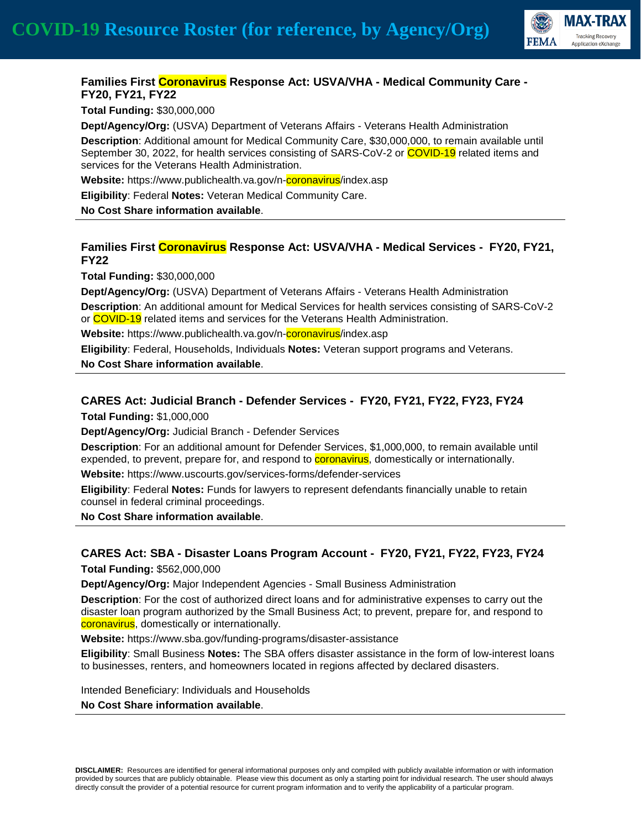

### **Families First Coronavirus Response Act: USVA/VHA - Medical Community Care - FY20, FY21, FY22**

**Total Funding:** \$30,000,000

**Dept/Agency/Org:** (USVA) Department of Veterans Affairs - Veterans Health Administration

**Description**: Additional amount for Medical Community Care, \$30,000,000, to remain available until September 30, 2022, for health services consisting of SARS-CoV-2 or COVID-19 related items and services for the Veterans Health Administration.

**Website:** https://www.publichealth.va.gov/n-coronavirus/index.asp

**Eligibility**: Federal **Notes:** Veteran Medical Community Care.

**No Cost Share information available**.

### **Families First Coronavirus Response Act: USVA/VHA - Medical Services - FY20, FY21, FY22**

**Total Funding:** \$30,000,000

**Dept/Agency/Org:** (USVA) Department of Veterans Affairs - Veterans Health Administration **Description**: An additional amount for Medical Services for health services consisting of SARS-CoV-2 or COVID-19 related items and services for the Veterans Health Administration.

**Website:** https://www.publichealth.va.gov/n-coronavirus/index.asp

**Eligibility**: Federal, Households, Individuals **Notes:** Veteran support programs and Veterans.

**No Cost Share information available**.

#### **CARES Act: Judicial Branch - Defender Services - FY20, FY21, FY22, FY23, FY24**

**Total Funding:** \$1,000,000

**Dept/Agency/Org:** Judicial Branch - Defender Services

**Description**: For an additional amount for Defender Services, \$1,000,000, to remain available until expended, to prevent, prepare for, and respond to **coronavirus**, domestically or internationally.

**Website:** https://www.uscourts.gov/services-forms/defender-services

**Eligibility**: Federal **Notes:** Funds for lawyers to represent defendants financially unable to retain counsel in federal criminal proceedings.

**No Cost Share information available**.

## **CARES Act: SBA - Disaster Loans Program Account - FY20, FY21, FY22, FY23, FY24**

**Total Funding:** \$562,000,000

**Dept/Agency/Org:** Major Independent Agencies - Small Business Administration

**Description**: For the cost of authorized direct loans and for administrative expenses to carry out the disaster loan program authorized by the Small Business Act; to prevent, prepare for, and respond to coronavirus, domestically or internationally.

**Website:** https://www.sba.gov/funding-programs/disaster-assistance

**Eligibility**: Small Business **Notes:** The SBA offers disaster assistance in the form of low-interest loans to businesses, renters, and homeowners located in regions affected by declared disasters.

Intended Beneficiary: Individuals and Households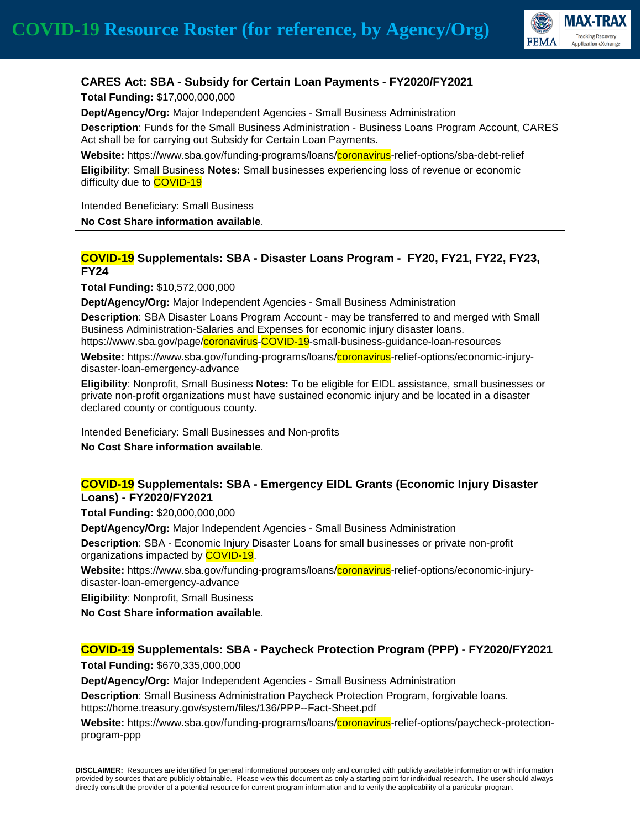

# **CARES Act: SBA - Subsidy for Certain Loan Payments - FY2020/FY2021**

**Total Funding:** \$17,000,000,000

**Dept/Agency/Org:** Major Independent Agencies - Small Business Administration

**Description**: Funds for the Small Business Administration - Business Loans Program Account, CARES Act shall be for carrying out Subsidy for Certain Loan Payments.

**Website:** https://www.sba.gov/funding-programs/loans/coronavirus-relief-options/sba-debt-relief **Eligibility**: Small Business **Notes:** Small businesses experiencing loss of revenue or economic difficulty due to **COVID-19** 

Intended Beneficiary: Small Business

**No Cost Share information available**.

## **COVID-19 Supplementals: SBA - Disaster Loans Program - FY20, FY21, FY22, FY23, FY24**

**Total Funding:** \$10,572,000,000

**Dept/Agency/Org:** Major Independent Agencies - Small Business Administration

**Description**: SBA Disaster Loans Program Account - may be transferred to and merged with Small Business Administration-Salaries and Expenses for economic injury disaster loans.

https://www.sba.gov/page/coronavirus-COVID-19-small-business-guidance-loan-resources

**Website:** https://www.sba.gov/funding-programs/loans/coronavirus-relief-options/economic-injurydisaster-loan-emergency-advance

**Eligibility**: Nonprofit, Small Business **Notes:** To be eligible for EIDL assistance, small businesses or private non-profit organizations must have sustained economic injury and be located in a disaster declared county or contiguous county.

Intended Beneficiary: Small Businesses and Non-profits

**No Cost Share information available**.

### **COVID-19 Supplementals: SBA - Emergency EIDL Grants (Economic Injury Disaster Loans) - FY2020/FY2021**

**Total Funding:** \$20,000,000,000

**Dept/Agency/Org:** Major Independent Agencies - Small Business Administration

**Description**: SBA - Economic Injury Disaster Loans for small businesses or private non-profit organizations impacted by **COVID-19**.

**Website:** https://www.sba.gov/funding-programs/loans/coronavirus-relief-options/economic-injurydisaster-loan-emergency-advance

**Eligibility**: Nonprofit, Small Business

**No Cost Share information available**.

## **COVID-19 Supplementals: SBA - Paycheck Protection Program (PPP) - FY2020/FY2021**

**Total Funding:** \$670,335,000,000

**Dept/Agency/Org:** Major Independent Agencies - Small Business Administration

**Description**: Small Business Administration Paycheck Protection Program, forgivable loans. https://home.treasury.gov/system/files/136/PPP--Fact-Sheet.pdf

**Website:** https://www.sba.gov/funding-programs/loans/coronavirus-relief-options/paycheck-protectionprogram-ppp

**DISCLAIMER:** Resources are identified for general informational purposes only and compiled with publicly available information or with information provided by sources that are publicly obtainable. Please view this document as only a starting point for individual research. The user should always directly consult the provider of a potential resource for current program information and to verify the applicability of a particular program.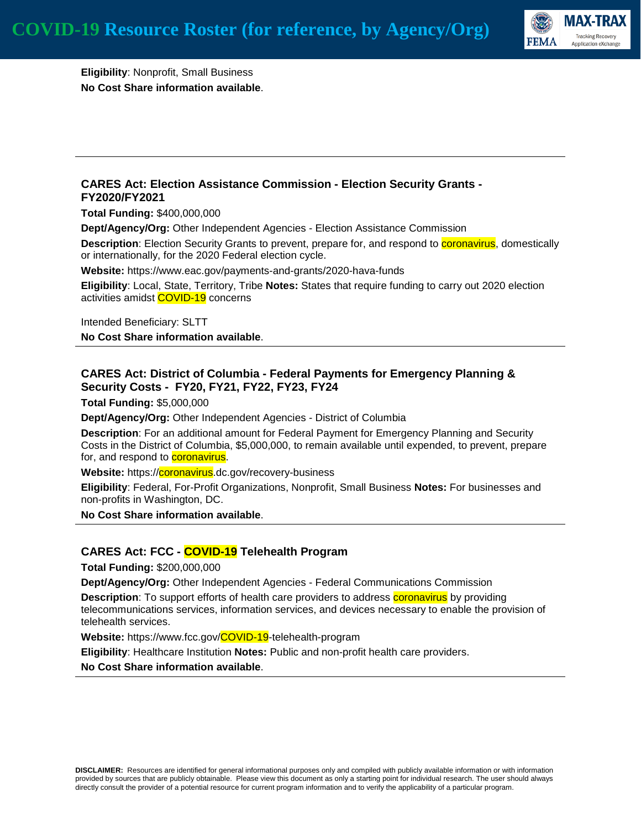

**Eligibility**: Nonprofit, Small Business **No Cost Share information available**.

#### **CARES Act: Election Assistance Commission - Election Security Grants - FY2020/FY2021**

**Total Funding:** \$400,000,000

**Dept/Agency/Org:** Other Independent Agencies - Election Assistance Commission

**Description**: Election Security Grants to prevent, prepare for, and respond to **coronavirus**, domestically or internationally, for the 2020 Federal election cycle.

**Website:** https://www.eac.gov/payments-and-grants/2020-hava-funds

**Eligibility**: Local, State, Territory, Tribe **Notes:** States that require funding to carry out 2020 election activities amidst **COVID-19** concerns

Intended Beneficiary: SLTT **No Cost Share information available**.

### **CARES Act: District of Columbia - Federal Payments for Emergency Planning & Security Costs - FY20, FY21, FY22, FY23, FY24**

**Total Funding:** \$5,000,000

**Dept/Agency/Org:** Other Independent Agencies - District of Columbia

**Description**: For an additional amount for Federal Payment for Emergency Planning and Security Costs in the District of Columbia, \$5,000,000, to remain available until expended, to prevent, prepare for, and respond to **coronavirus**.

**Website:** https://**coronavirus**.dc.gov/recovery-business

**Eligibility**: Federal, For-Profit Organizations, Nonprofit, Small Business **Notes:** For businesses and non-profits in Washington, DC.

**No Cost Share information available**.

#### **CARES Act: FCC - COVID-19 Telehealth Program**

**Total Funding:** \$200,000,000

**Dept/Agency/Org:** Other Independent Agencies - Federal Communications Commission

**Description**: To support efforts of health care providers to address **coronavirus** by providing telecommunications services, information services, and devices necessary to enable the provision of telehealth services.

**Website:** https://www.fcc.gov/COVID-19-telehealth-program

**Eligibility**: Healthcare Institution **Notes:** Public and non-profit health care providers.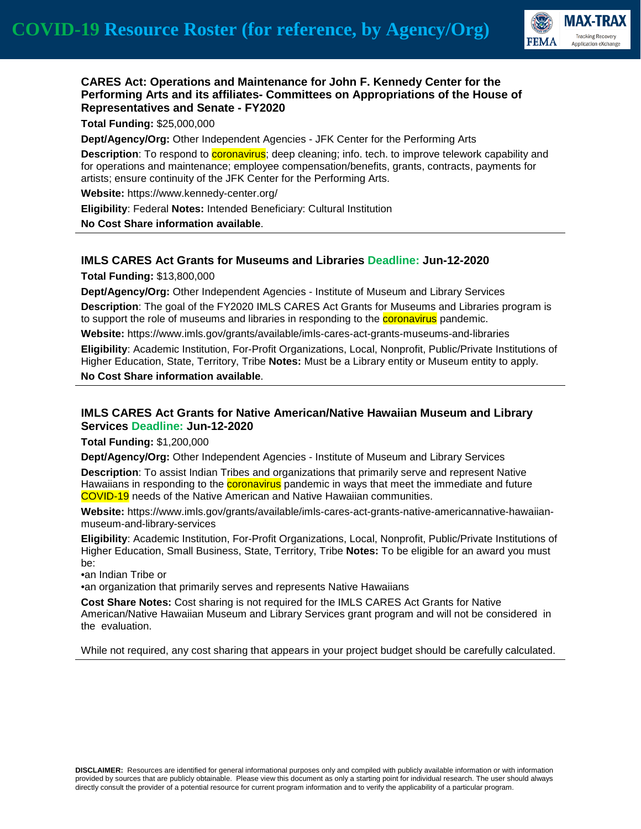

### **CARES Act: Operations and Maintenance for John F. Kennedy Center for the Performing Arts and its affiliates- Committees on Appropriations of the House of Representatives and Senate - FY2020**

**Total Funding:** \$25,000,000

**Dept/Agency/Org:** Other Independent Agencies - JFK Center for the Performing Arts **Description**: To respond to **coronavirus**; deep cleaning; info. tech. to improve telework capability and for operations and maintenance; employee compensation/benefits, grants, contracts, payments for artists; ensure continuity of the JFK Center for the Performing Arts.

**Website:** https://www.kennedy-center.org/

**Eligibility**: Federal **Notes:** Intended Beneficiary: Cultural Institution

**No Cost Share information available**.

### **IMLS CARES Act Grants for Museums and Libraries Deadline: Jun-12-2020**

**Total Funding:** \$13,800,000

**Dept/Agency/Org:** Other Independent Agencies - Institute of Museum and Library Services **Description**: The goal of the FY2020 IMLS CARES Act Grants for Museums and Libraries program is to support the role of museums and libraries in responding to the **coronavirus** pandemic.

**Website:** https://www.imls.gov/grants/available/imls-cares-act-grants-museums-and-libraries **Eligibility**: Academic Institution, For-Profit Organizations, Local, Nonprofit, Public/Private Institutions of Higher Education, State, Territory, Tribe **Notes:** Must be a Library entity or Museum entity to apply. **No Cost Share information available**.

### **IMLS CARES Act Grants for Native American/Native Hawaiian Museum and Library Services Deadline: Jun-12-2020**

**Total Funding:** \$1,200,000

**Dept/Agency/Org:** Other Independent Agencies - Institute of Museum and Library Services

**Description**: To assist Indian Tribes and organizations that primarily serve and represent Native Hawaiians in responding to the **coronavirus** pandemic in ways that meet the immediate and future COVID-19 needs of the Native American and Native Hawaiian communities.

**Website:** https://www.imls.gov/grants/available/imls-cares-act-grants-native-americannative-hawaiianmuseum-and-library-services

**Eligibility**: Academic Institution, For-Profit Organizations, Local, Nonprofit, Public/Private Institutions of Higher Education, Small Business, State, Territory, Tribe **Notes:** To be eligible for an award you must be:

•an Indian Tribe or

•an organization that primarily serves and represents Native Hawaiians

**Cost Share Notes:** Cost sharing is not required for the IMLS CARES Act Grants for Native American/Native Hawaiian Museum and Library Services grant program and will not be considered in the evaluation.

While not required, any cost sharing that appears in your project budget should be carefully calculated.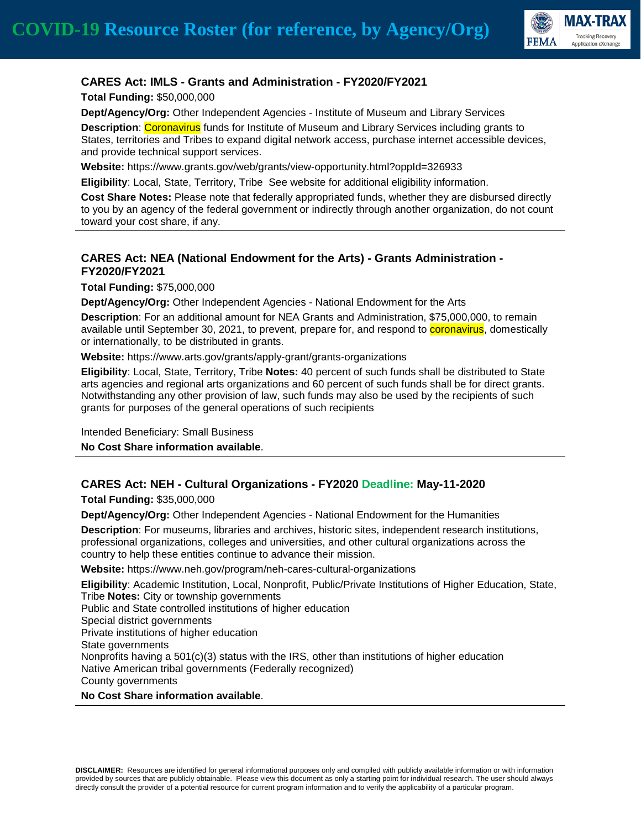

# **CARES Act: IMLS - Grants and Administration - FY2020/FY2021**

**Total Funding:** \$50,000,000

**Dept/Agency/Org:** Other Independent Agencies - Institute of Museum and Library Services

**Description**: Coronavirus funds for Institute of Museum and Library Services including grants to States, territories and Tribes to expand digital network access, purchase internet accessible devices, and provide technical support services.

**Website:** https://www.grants.gov/web/grants/view-opportunity.html?oppId=326933

**Eligibility**: Local, State, Territory, Tribe See website for additional eligibility information.

**Cost Share Notes:** Please note that federally appropriated funds, whether they are disbursed directly to you by an agency of the federal government or indirectly through another organization, do not count toward your cost share, if any.

## **CARES Act: NEA (National Endowment for the Arts) - Grants Administration - FY2020/FY2021**

**Total Funding:** \$75,000,000

**Dept/Agency/Org:** Other Independent Agencies - National Endowment for the Arts

**Description**: For an additional amount for NEA Grants and Administration, \$75,000,000, to remain available until September 30, 2021, to prevent, prepare for, and respond to **coronavirus**, domestically or internationally, to be distributed in grants.

**Website:** https://www.arts.gov/grants/apply-grant/grants-organizations

**Eligibility**: Local, State, Territory, Tribe **Notes:** 40 percent of such funds shall be distributed to State arts agencies and regional arts organizations and 60 percent of such funds shall be for direct grants. Notwithstanding any other provision of law, such funds may also be used by the recipients of such grants for purposes of the general operations of such recipients

Intended Beneficiary: Small Business

**No Cost Share information available**.

## **CARES Act: NEH - Cultural Organizations - FY2020 Deadline: May-11-2020**

**Total Funding:** \$35,000,000

**Dept/Agency/Org:** Other Independent Agencies - National Endowment for the Humanities

**Description**: For museums, libraries and archives, historic sites, independent research institutions, professional organizations, colleges and universities, and other cultural organizations across the country to help these entities continue to advance their mission.

**Website:** https://www.neh.gov/program/neh-cares-cultural-organizations

**Eligibility**: Academic Institution, Local, Nonprofit, Public/Private Institutions of Higher Education, State, Tribe **Notes:** City or township governments Public and State controlled institutions of higher education Special district governments Private institutions of higher education State governments Nonprofits having a  $501(c)(3)$  status with the IRS, other than institutions of higher education Native American tribal governments (Federally recognized) County governments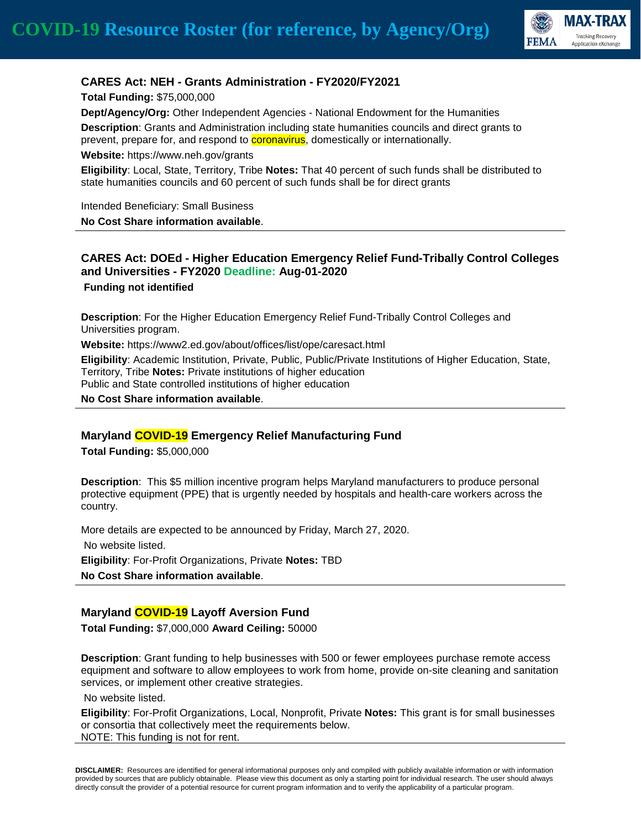

### **CARES Act: NEH - Grants Administration - FY2020/FY2021**

**Total Funding:** \$75,000,000 **Dept/Agency/Org:** Other Independent Agencies - National Endowment for the Humanities **Description**: Grants and Administration including state humanities councils and direct grants to prevent, prepare for, and respond to **coronavirus**, domestically or internationally.

**Website:** https://www.neh.gov/grants

**Eligibility**: Local, State, Territory, Tribe **Notes:** That 40 percent of such funds shall be distributed to state humanities councils and 60 percent of such funds shall be for direct grants

Intended Beneficiary: Small Business

**No Cost Share information available**.

### **CARES Act: DOEd - Higher Education Emergency Relief Fund-Tribally Control Colleges and Universities - FY2020 Deadline: Aug-01-2020 Funding not identified**

**Description**: For the Higher Education Emergency Relief Fund-Tribally Control Colleges and Universities program.

**Website:** https://www2.ed.gov/about/offices/list/ope/caresact.html

**Eligibility**: Academic Institution, Private, Public, Public/Private Institutions of Higher Education, State, Territory, Tribe **Notes:** Private institutions of higher education Public and State controlled institutions of higher education

**No Cost Share information available**.

#### **Maryland COVID-19 Emergency Relief Manufacturing Fund**

**Total Funding:** \$5,000,000

**Description**: This \$5 million incentive program helps Maryland manufacturers to produce personal protective equipment (PPE) that is urgently needed by hospitals and health-care workers across the country.

More details are expected to be announced by Friday, March 27, 2020. No website listed. **Eligibility**: For-Profit Organizations, Private **Notes:** TBD **No Cost Share information available**.

#### **Maryland COVID-19 Layoff Aversion Fund**

**Total Funding:** \$7,000,000 **Award Ceiling:** 50000

**Description**: Grant funding to help businesses with 500 or fewer employees purchase remote access equipment and software to allow employees to work from home, provide on-site cleaning and sanitation services, or implement other creative strategies.

No website listed.

**Eligibility**: For-Profit Organizations, Local, Nonprofit, Private **Notes:** This grant is for small businesses or consortia that collectively meet the requirements below. NOTE: This funding is not for rent.

**DISCLAIMER:** Resources are identified for general informational purposes only and compiled with publicly available information or with information provided by sources that are publicly obtainable. Please view this document as only a starting point for individual research. The user should always directly consult the provider of a potential resource for current program information and to verify the applicability of a particular program.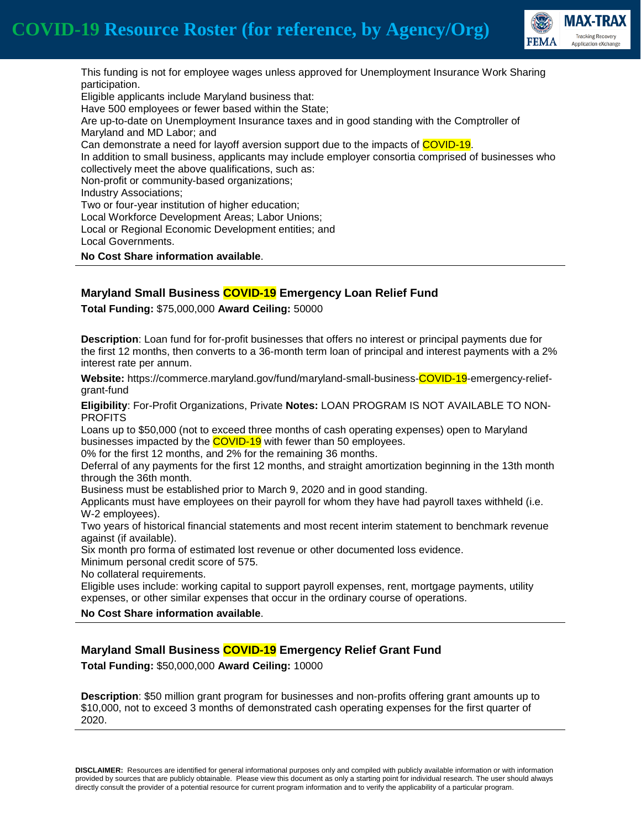

This funding is not for employee wages unless approved for Unemployment Insurance Work Sharing participation. Eligible applicants include Maryland business that: Have 500 employees or fewer based within the State; Are up-to-date on Unemployment Insurance taxes and in good standing with the Comptroller of Maryland and MD Labor; and Can demonstrate a need for layoff aversion support due to the impacts of COVID-19. In addition to small business, applicants may include employer consortia comprised of businesses who collectively meet the above qualifications, such as: Non-profit or community-based organizations; Industry Associations; Two or four-year institution of higher education; Local Workforce Development Areas; Labor Unions; Local or Regional Economic Development entities; and Local Governments. **No Cost Share information available**.

## **Maryland Small Business COVID-19 Emergency Loan Relief Fund**

**Total Funding:** \$75,000,000 **Award Ceiling:** 50000

**Description**: Loan fund for for-profit businesses that offers no interest or principal payments due for the first 12 months, then converts to a 36-month term loan of principal and interest payments with a 2% interest rate per annum.

**Website:** https://commerce.maryland.gov/fund/maryland-small-business-COVID-19-emergency-reliefgrant-fund

**Eligibility**: For-Profit Organizations, Private **Notes:** LOAN PROGRAM IS NOT AVAILABLE TO NON-PROFITS

Loans up to \$50,000 (not to exceed three months of cash operating expenses) open to Maryland businesses impacted by the **COVID-19** with fewer than 50 employees.

0% for the first 12 months, and 2% for the remaining 36 months.

Deferral of any payments for the first 12 months, and straight amortization beginning in the 13th month through the 36th month.

Business must be established prior to March 9, 2020 and in good standing.

Applicants must have employees on their payroll for whom they have had payroll taxes withheld (i.e. W-2 employees).

Two years of historical financial statements and most recent interim statement to benchmark revenue against (if available).

Six month pro forma of estimated lost revenue or other documented loss evidence.

Minimum personal credit score of 575.

No collateral requirements.

Eligible uses include: working capital to support payroll expenses, rent, mortgage payments, utility expenses, or other similar expenses that occur in the ordinary course of operations.

**No Cost Share information available**.

## **Maryland Small Business COVID-19 Emergency Relief Grant Fund**

**Total Funding:** \$50,000,000 **Award Ceiling:** 10000

**Description**: \$50 million grant program for businesses and non-profits offering grant amounts up to \$10,000, not to exceed 3 months of demonstrated cash operating expenses for the first quarter of 2020.